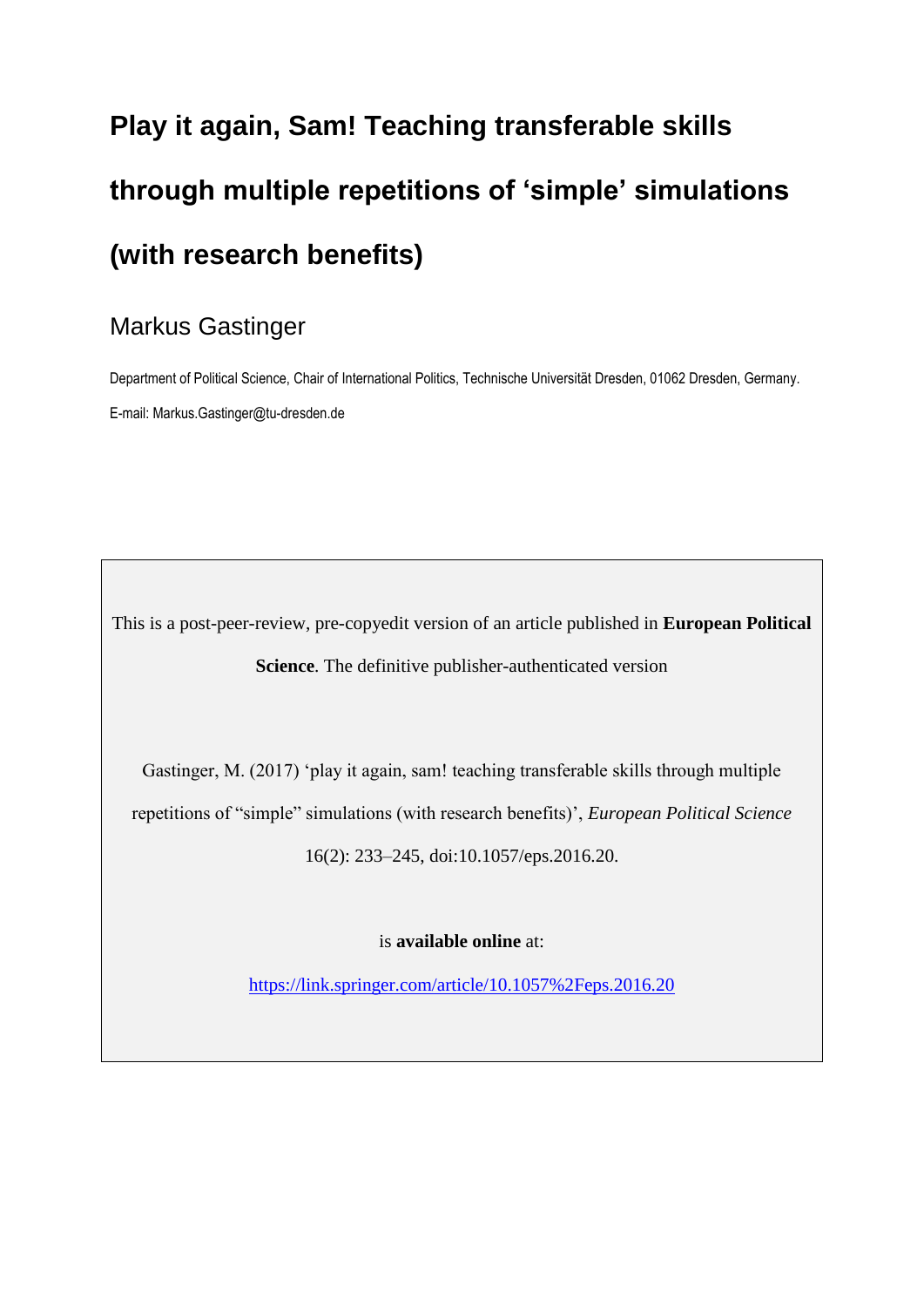# **Play it again, Sam! Teaching transferable skills through multiple repetitions of 'simple' simulations (with research benefits)**

## Markus Gastinger

Department of Political Science, Chair of International Politics, Technische Universität Dresden, 01062 Dresden, Germany. E-mail: Markus.Gastinger@tu-dresden.de

This is a post-peer-review, pre-copyedit version of an article published in **European Political Science**. The definitive publisher-authenticated version

Gastinger, M. (2017) 'play it again, sam! teaching transferable skills through multiple repetitions of "simple" simulations (with research benefits)', *European Political Science* 16(2): 233–245, doi:10.1057/eps.2016.20.

is **available online** at:

<https://link.springer.com/article/10.1057%2Feps.2016.20>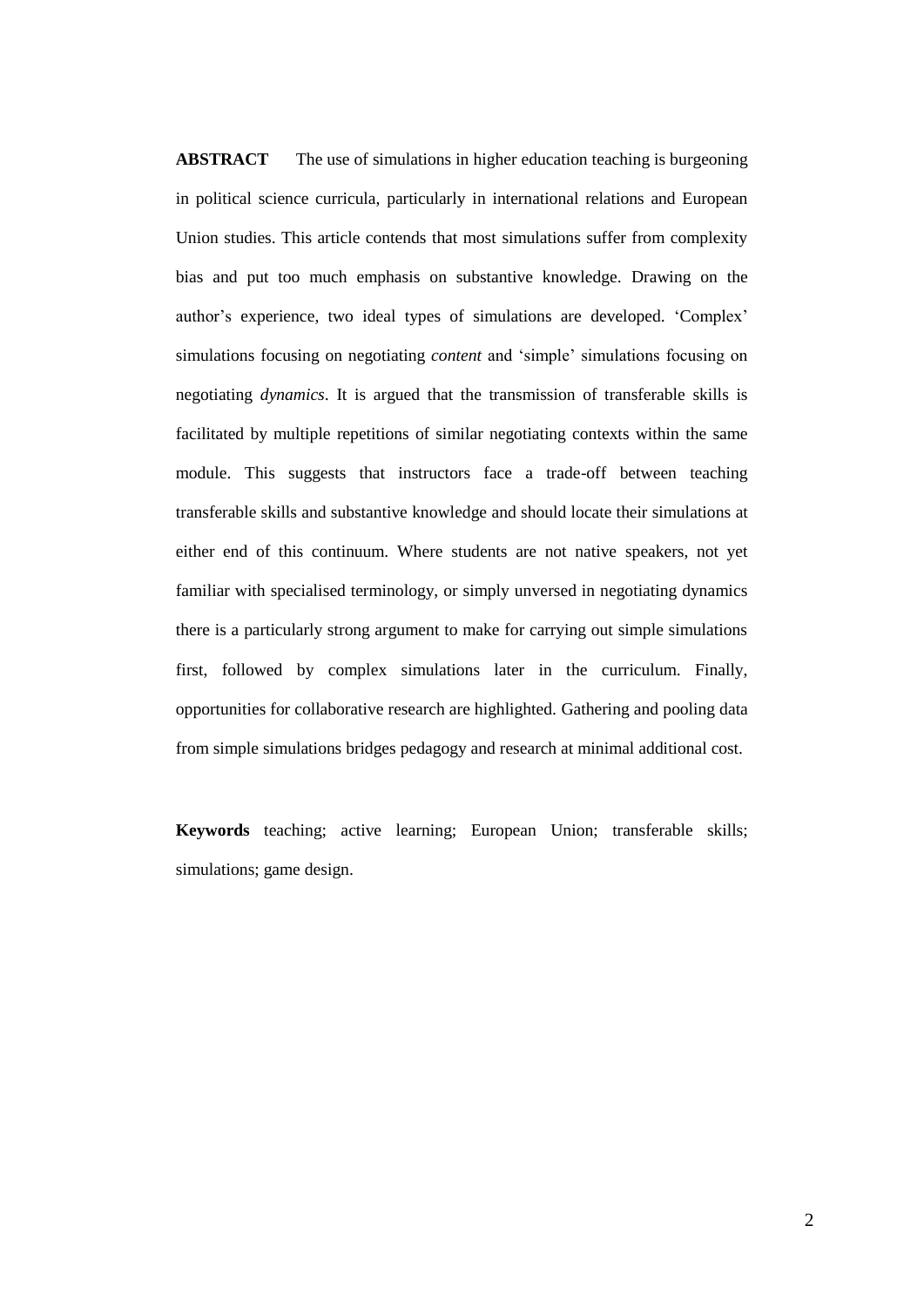**ABSTRACT** The use of simulations in higher education teaching is burgeoning in political science curricula, particularly in international relations and European Union studies. This article contends that most simulations suffer from complexity bias and put too much emphasis on substantive knowledge. Drawing on the author's experience, two ideal types of simulations are developed. 'Complex' simulations focusing on negotiating *content* and 'simple' simulations focusing on negotiating *dynamics*. It is argued that the transmission of transferable skills is facilitated by multiple repetitions of similar negotiating contexts within the same module. This suggests that instructors face a trade-off between teaching transferable skills and substantive knowledge and should locate their simulations at either end of this continuum. Where students are not native speakers, not yet familiar with specialised terminology, or simply unversed in negotiating dynamics there is a particularly strong argument to make for carrying out simple simulations first, followed by complex simulations later in the curriculum. Finally, opportunities for collaborative research are highlighted. Gathering and pooling data from simple simulations bridges pedagogy and research at minimal additional cost.

**Keywords** teaching; active learning; European Union; transferable skills; simulations; game design.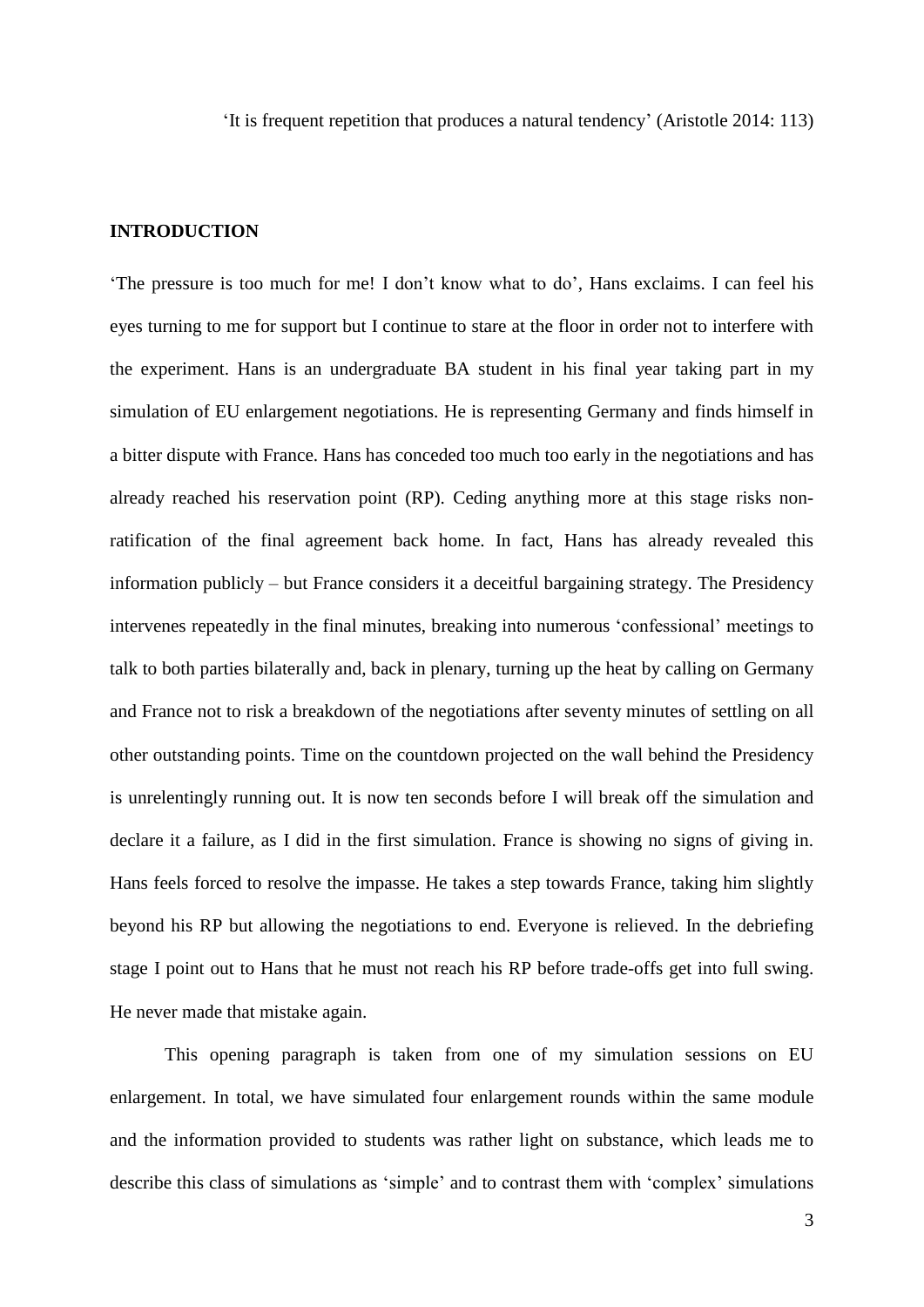'It is frequent repetition that produces a natural tendency' (Aristotle 2014: 113)

#### **INTRODUCTION**

'The pressure is too much for me! I don't know what to do', Hans exclaims. I can feel his eyes turning to me for support but I continue to stare at the floor in order not to interfere with the experiment. Hans is an undergraduate BA student in his final year taking part in my simulation of EU enlargement negotiations. He is representing Germany and finds himself in a bitter dispute with France. Hans has conceded too much too early in the negotiations and has already reached his reservation point (RP). Ceding anything more at this stage risks nonratification of the final agreement back home. In fact, Hans has already revealed this information publicly – but France considers it a deceitful bargaining strategy. The Presidency intervenes repeatedly in the final minutes, breaking into numerous 'confessional' meetings to talk to both parties bilaterally and, back in plenary, turning up the heat by calling on Germany and France not to risk a breakdown of the negotiations after seventy minutes of settling on all other outstanding points. Time on the countdown projected on the wall behind the Presidency is unrelentingly running out. It is now ten seconds before I will break off the simulation and declare it a failure, as I did in the first simulation. France is showing no signs of giving in. Hans feels forced to resolve the impasse. He takes a step towards France, taking him slightly beyond his RP but allowing the negotiations to end. Everyone is relieved. In the debriefing stage I point out to Hans that he must not reach his RP before trade-offs get into full swing. He never made that mistake again.

This opening paragraph is taken from one of my simulation sessions on EU enlargement. In total, we have simulated four enlargement rounds within the same module and the information provided to students was rather light on substance, which leads me to describe this class of simulations as 'simple' and to contrast them with 'complex' simulations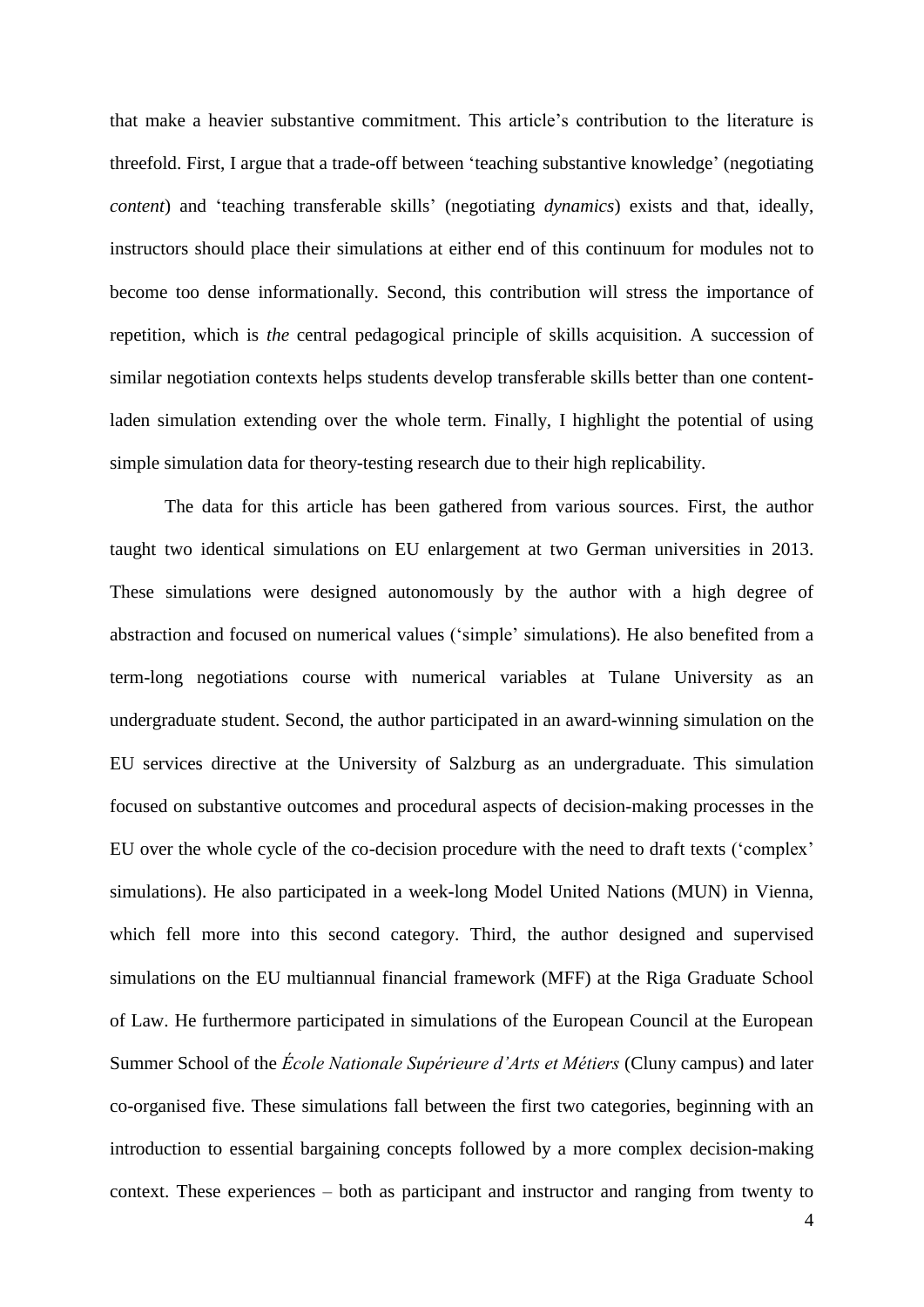that make a heavier substantive commitment. This article's contribution to the literature is threefold. First, I argue that a trade-off between 'teaching substantive knowledge' (negotiating *content*) and 'teaching transferable skills' (negotiating *dynamics*) exists and that, ideally, instructors should place their simulations at either end of this continuum for modules not to become too dense informationally. Second, this contribution will stress the importance of repetition, which is *the* central pedagogical principle of skills acquisition. A succession of similar negotiation contexts helps students develop transferable skills better than one contentladen simulation extending over the whole term. Finally, I highlight the potential of using simple simulation data for theory-testing research due to their high replicability.

The data for this article has been gathered from various sources. First, the author taught two identical simulations on EU enlargement at two German universities in 2013. These simulations were designed autonomously by the author with a high degree of abstraction and focused on numerical values ('simple' simulations). He also benefited from a term-long negotiations course with numerical variables at Tulane University as an undergraduate student. Second, the author participated in an award-winning simulation on the EU services directive at the University of Salzburg as an undergraduate. This simulation focused on substantive outcomes and procedural aspects of decision-making processes in the EU over the whole cycle of the co-decision procedure with the need to draft texts ('complex' simulations). He also participated in a week-long Model United Nations (MUN) in Vienna, which fell more into this second category. Third, the author designed and supervised simulations on the EU multiannual financial framework (MFF) at the Riga Graduate School of Law. He furthermore participated in simulations of the European Council at the European Summer School of the *École Nationale Supérieure d'Arts et Métiers* (Cluny campus) and later co-organised five. These simulations fall between the first two categories, beginning with an introduction to essential bargaining concepts followed by a more complex decision-making context. These experiences – both as participant and instructor and ranging from twenty to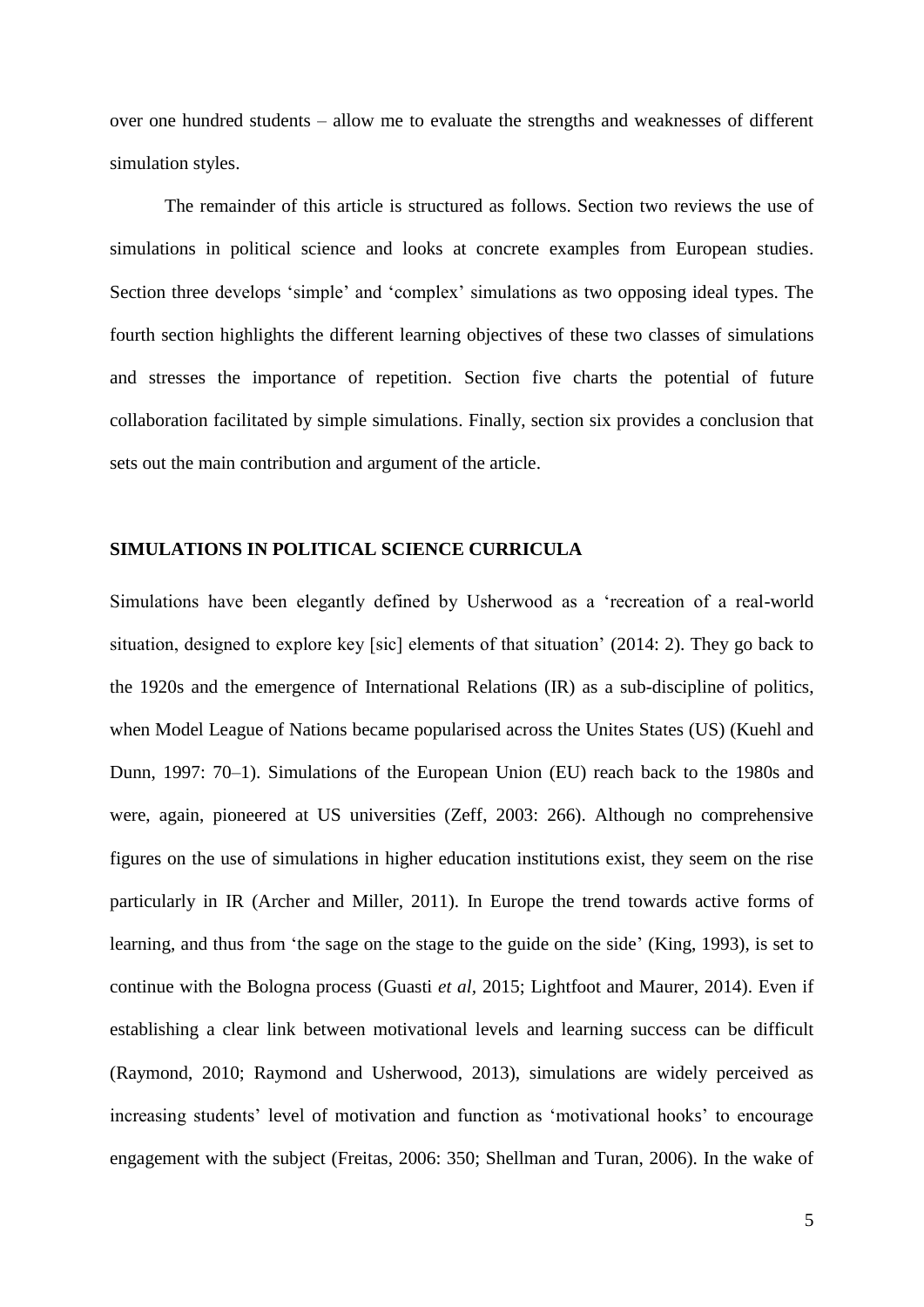over one hundred students – allow me to evaluate the strengths and weaknesses of different simulation styles.

The remainder of this article is structured as follows. Section two reviews the use of simulations in political science and looks at concrete examples from European studies. Section three develops 'simple' and 'complex' simulations as two opposing ideal types. The fourth section highlights the different learning objectives of these two classes of simulations and stresses the importance of repetition. Section five charts the potential of future collaboration facilitated by simple simulations. Finally, section six provides a conclusion that sets out the main contribution and argument of the article.

#### **SIMULATIONS IN POLITICAL SCIENCE CURRICULA**

Simulations have been elegantly defined by Usherwood as a 'recreation of a real-world situation, designed to explore key [sic] elements of that situation' (2014: 2). They go back to the 1920s and the emergence of International Relations (IR) as a sub-discipline of politics, when Model League of Nations became popularised across the Unites States (US) (Kuehl and Dunn, 1997: 70–1). Simulations of the European Union (EU) reach back to the 1980s and were, again, pioneered at US universities (Zeff, 2003: 266). Although no comprehensive figures on the use of simulations in higher education institutions exist, they seem on the rise particularly in IR (Archer and Miller, 2011). In Europe the trend towards active forms of learning, and thus from 'the sage on the stage to the guide on the side' (King, 1993), is set to continue with the Bologna process (Guasti *et al,* 2015; Lightfoot and Maurer, 2014). Even if establishing a clear link between motivational levels and learning success can be difficult (Raymond, 2010; Raymond and Usherwood, 2013), simulations are widely perceived as increasing students' level of motivation and function as 'motivational hooks' to encourage engagement with the subject (Freitas, 2006: 350; Shellman and Turan, 2006). In the wake of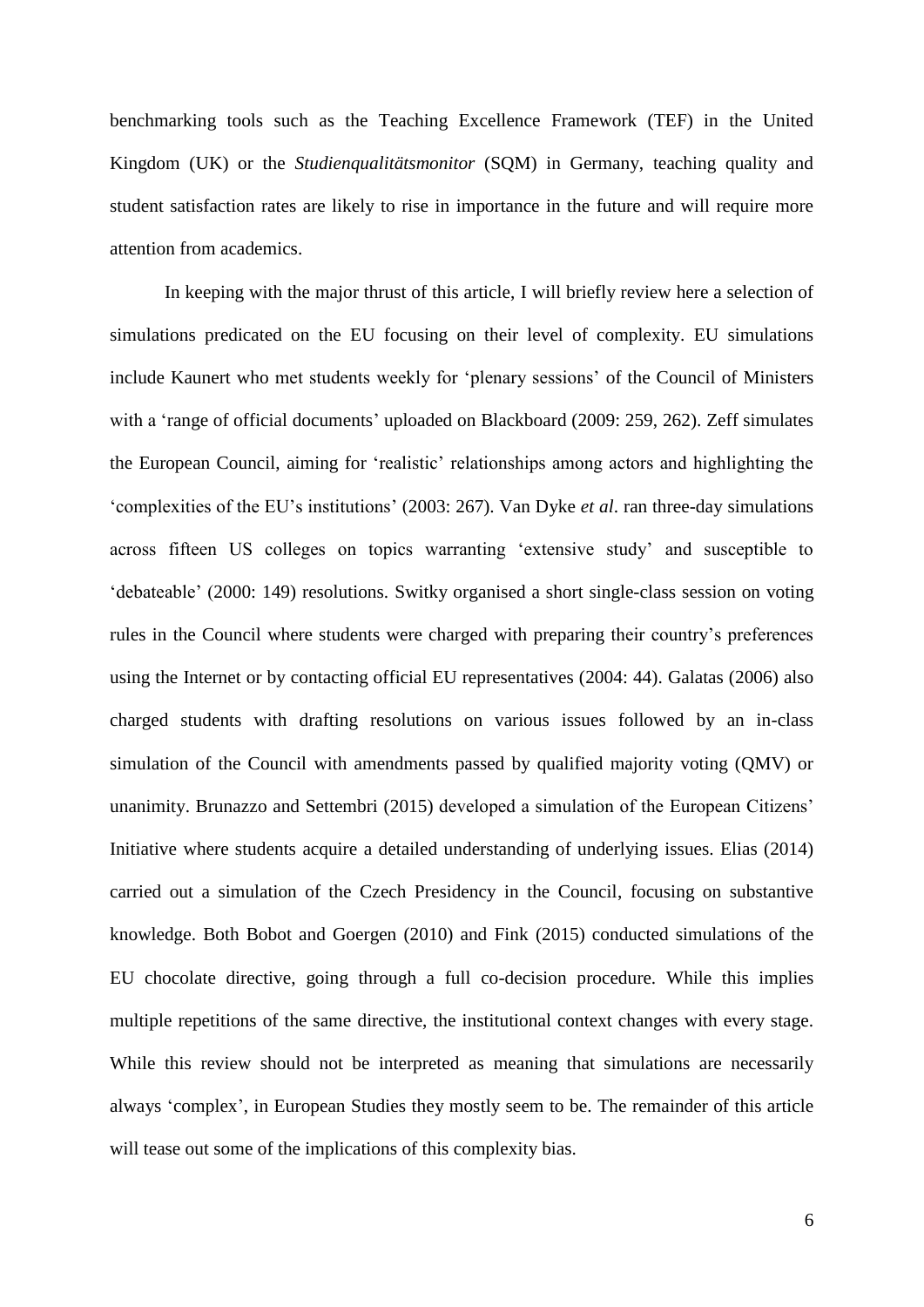benchmarking tools such as the Teaching Excellence Framework (TEF) in the United Kingdom (UK) or the *Studienqualitätsmonitor* (SQM) in Germany, teaching quality and student satisfaction rates are likely to rise in importance in the future and will require more attention from academics.

In keeping with the major thrust of this article, I will briefly review here a selection of simulations predicated on the EU focusing on their level of complexity. EU simulations include Kaunert who met students weekly for 'plenary sessions' of the Council of Ministers with a 'range of official documents' uploaded on Blackboard (2009: 259, 262). Zeff simulates the European Council, aiming for 'realistic' relationships among actors and highlighting the 'complexities of the EU's institutions' (2003: 267). Van Dyke *et al*. ran three-day simulations across fifteen US colleges on topics warranting 'extensive study' and susceptible to 'debateable' (2000: 149) resolutions. Switky organised a short single-class session on voting rules in the Council where students were charged with preparing their country's preferences using the Internet or by contacting official EU representatives (2004: 44). Galatas (2006) also charged students with drafting resolutions on various issues followed by an in-class simulation of the Council with amendments passed by qualified majority voting (QMV) or unanimity. Brunazzo and Settembri (2015) developed a simulation of the European Citizens' Initiative where students acquire a detailed understanding of underlying issues. Elias (2014) carried out a simulation of the Czech Presidency in the Council, focusing on substantive knowledge. Both Bobot and Goergen (2010) and Fink (2015) conducted simulations of the EU chocolate directive, going through a full co-decision procedure. While this implies multiple repetitions of the same directive, the institutional context changes with every stage. While this review should not be interpreted as meaning that simulations are necessarily always 'complex', in European Studies they mostly seem to be. The remainder of this article will tease out some of the implications of this complexity bias.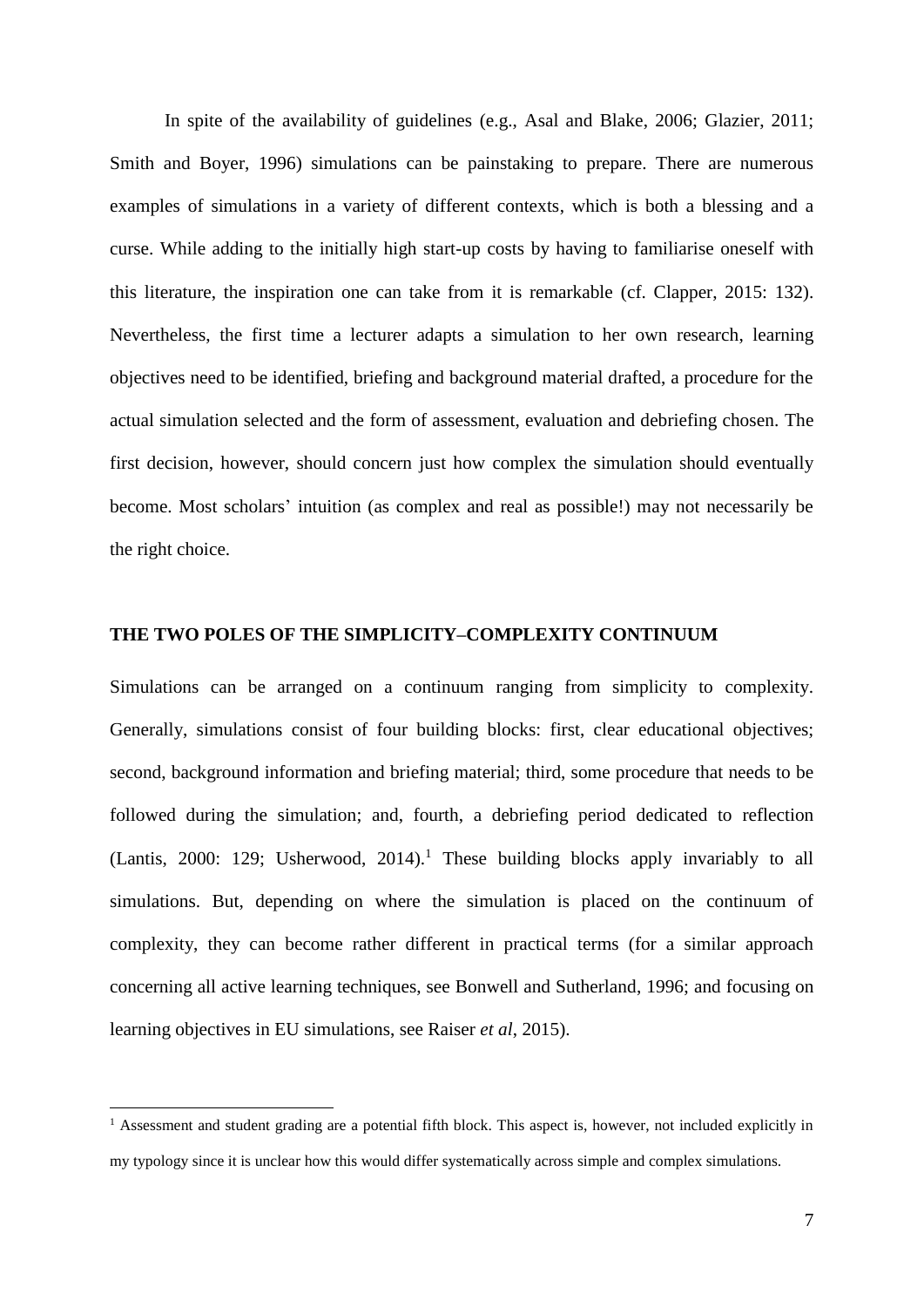In spite of the availability of guidelines (e.g., Asal and Blake, 2006; Glazier, 2011; Smith and Boyer, 1996) simulations can be painstaking to prepare. There are numerous examples of simulations in a variety of different contexts, which is both a blessing and a curse. While adding to the initially high start-up costs by having to familiarise oneself with this literature, the inspiration one can take from it is remarkable (cf. Clapper, 2015: 132). Nevertheless, the first time a lecturer adapts a simulation to her own research, learning objectives need to be identified, briefing and background material drafted, a procedure for the actual simulation selected and the form of assessment, evaluation and debriefing chosen. The first decision, however, should concern just how complex the simulation should eventually become. Most scholars' intuition (as complex and real as possible!) may not necessarily be the right choice.

#### **THE TWO POLES OF THE SIMPLICITY–COMPLEXITY CONTINUUM**

Simulations can be arranged on a continuum ranging from simplicity to complexity. Generally, simulations consist of four building blocks: first, clear educational objectives; second, background information and briefing material; third, some procedure that needs to be followed during the simulation; and, fourth, a debriefing period dedicated to reflection (Lantis, 2000: 129; Usherwood, 2014). <sup>1</sup> These building blocks apply invariably to all simulations. But, depending on where the simulation is placed on the continuum of complexity, they can become rather different in practical terms (for a similar approach concerning all active learning techniques, see Bonwell and Sutherland, 1996; and focusing on learning objectives in EU simulations, see Raiser *et al*, 2015).

<u>.</u>

<sup>&</sup>lt;sup>1</sup> Assessment and student grading are a potential fifth block. This aspect is, however, not included explicitly in my typology since it is unclear how this would differ systematically across simple and complex simulations.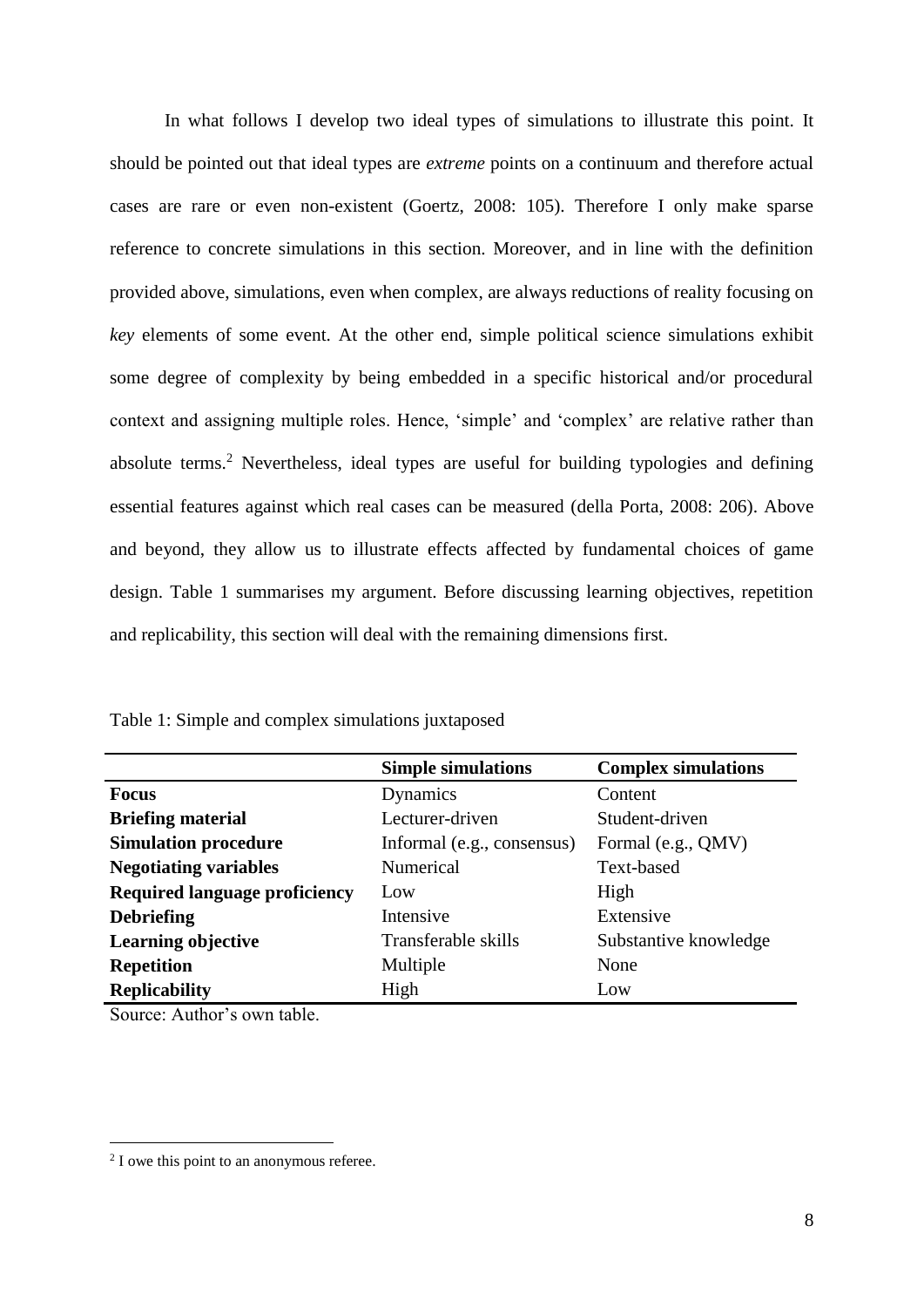In what follows I develop two ideal types of simulations to illustrate this point. It should be pointed out that ideal types are *extreme* points on a continuum and therefore actual cases are rare or even non-existent (Goertz, 2008: 105). Therefore I only make sparse reference to concrete simulations in this section. Moreover, and in line with the definition provided above, simulations, even when complex, are always reductions of reality focusing on *key* elements of some event. At the other end, simple political science simulations exhibit some degree of complexity by being embedded in a specific historical and/or procedural context and assigning multiple roles. Hence, 'simple' and 'complex' are relative rather than absolute terms.<sup>2</sup> Nevertheless, ideal types are useful for building typologies and defining essential features against which real cases can be measured (della Porta, 2008: 206). Above and beyond, they allow us to illustrate effects affected by fundamental choices of game design. Table 1 summarises my argument. Before discussing learning objectives, repetition and replicability, this section will deal with the remaining dimensions first.

|                                      | <b>Simple simulations</b>  | <b>Complex simulations</b> |
|--------------------------------------|----------------------------|----------------------------|
| Focus                                | Dynamics                   | Content                    |
| <b>Briefing material</b>             | Lecturer-driven            | Student-driven             |
| <b>Simulation procedure</b>          | Informal (e.g., consensus) | Formal (e.g., QMV)         |
| <b>Negotiating variables</b>         | Numerical                  | Text-based                 |
| <b>Required language proficiency</b> | Low                        | High                       |
| <b>Debriefing</b>                    | Intensive                  | Extensive                  |
| <b>Learning objective</b>            | Transferable skills        | Substantive knowledge      |
| <b>Repetition</b>                    | Multiple                   | None                       |
| <b>Replicability</b>                 | High                       | Low                        |

Table 1: Simple and complex simulations juxtaposed

Source: Author's own table.

<u>.</u>

<sup>&</sup>lt;sup>2</sup> I owe this point to an anonymous referee.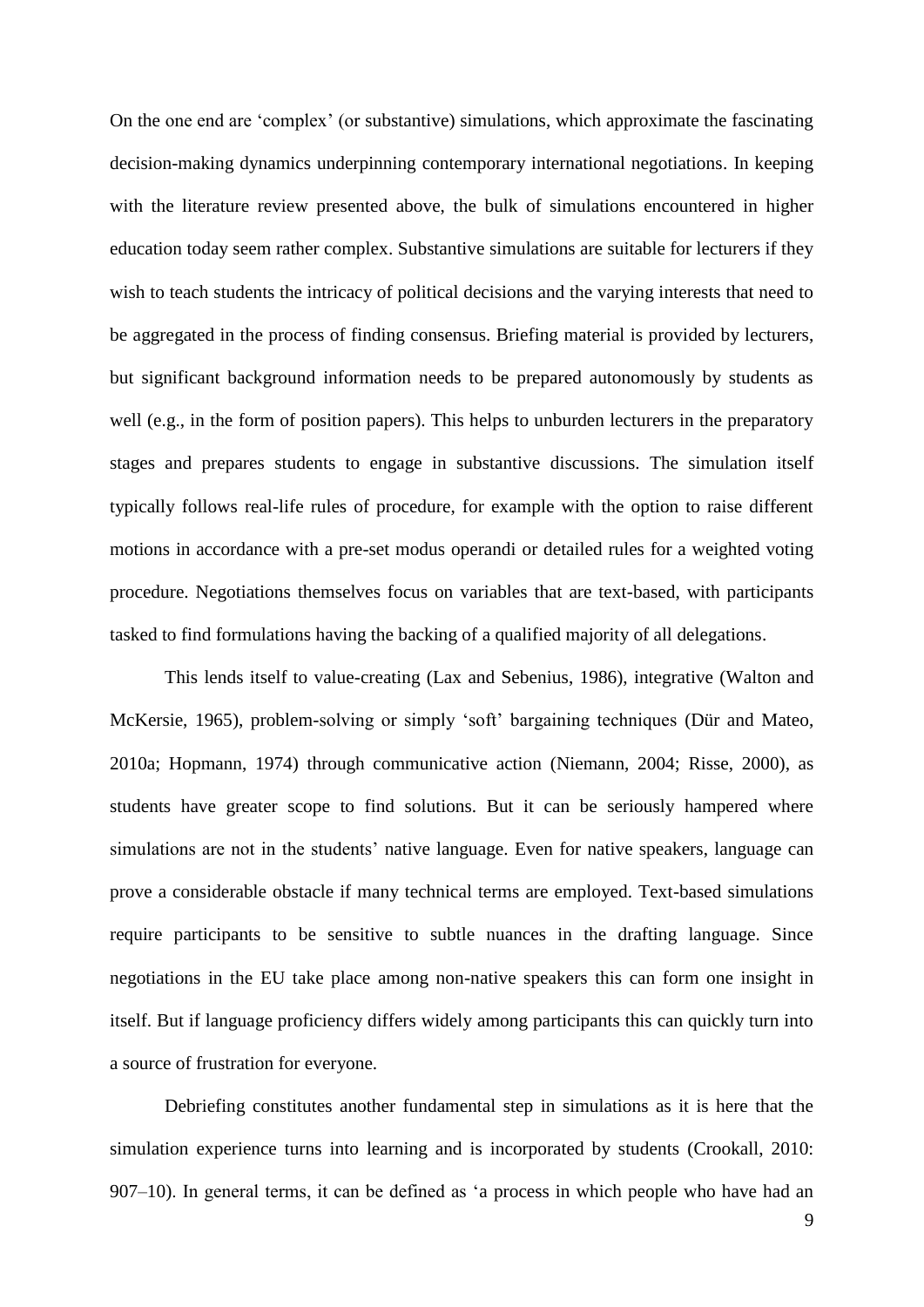On the one end are 'complex' (or substantive) simulations, which approximate the fascinating decision-making dynamics underpinning contemporary international negotiations. In keeping with the literature review presented above, the bulk of simulations encountered in higher education today seem rather complex. Substantive simulations are suitable for lecturers if they wish to teach students the intricacy of political decisions and the varying interests that need to be aggregated in the process of finding consensus. Briefing material is provided by lecturers, but significant background information needs to be prepared autonomously by students as well (e.g., in the form of position papers). This helps to unburden lecturers in the preparatory stages and prepares students to engage in substantive discussions. The simulation itself typically follows real-life rules of procedure, for example with the option to raise different motions in accordance with a pre-set modus operandi or detailed rules for a weighted voting procedure. Negotiations themselves focus on variables that are text-based, with participants tasked to find formulations having the backing of a qualified majority of all delegations.

This lends itself to value-creating (Lax and Sebenius, 1986), integrative (Walton and McKersie, 1965), problem-solving or simply 'soft' bargaining techniques (Dür and Mateo, 2010a; Hopmann, 1974) through communicative action (Niemann, 2004; Risse, 2000), as students have greater scope to find solutions. But it can be seriously hampered where simulations are not in the students' native language. Even for native speakers, language can prove a considerable obstacle if many technical terms are employed. Text-based simulations require participants to be sensitive to subtle nuances in the drafting language. Since negotiations in the EU take place among non-native speakers this can form one insight in itself. But if language proficiency differs widely among participants this can quickly turn into a source of frustration for everyone.

Debriefing constitutes another fundamental step in simulations as it is here that the simulation experience turns into learning and is incorporated by students (Crookall, 2010: 907–10). In general terms, it can be defined as 'a process in which people who have had an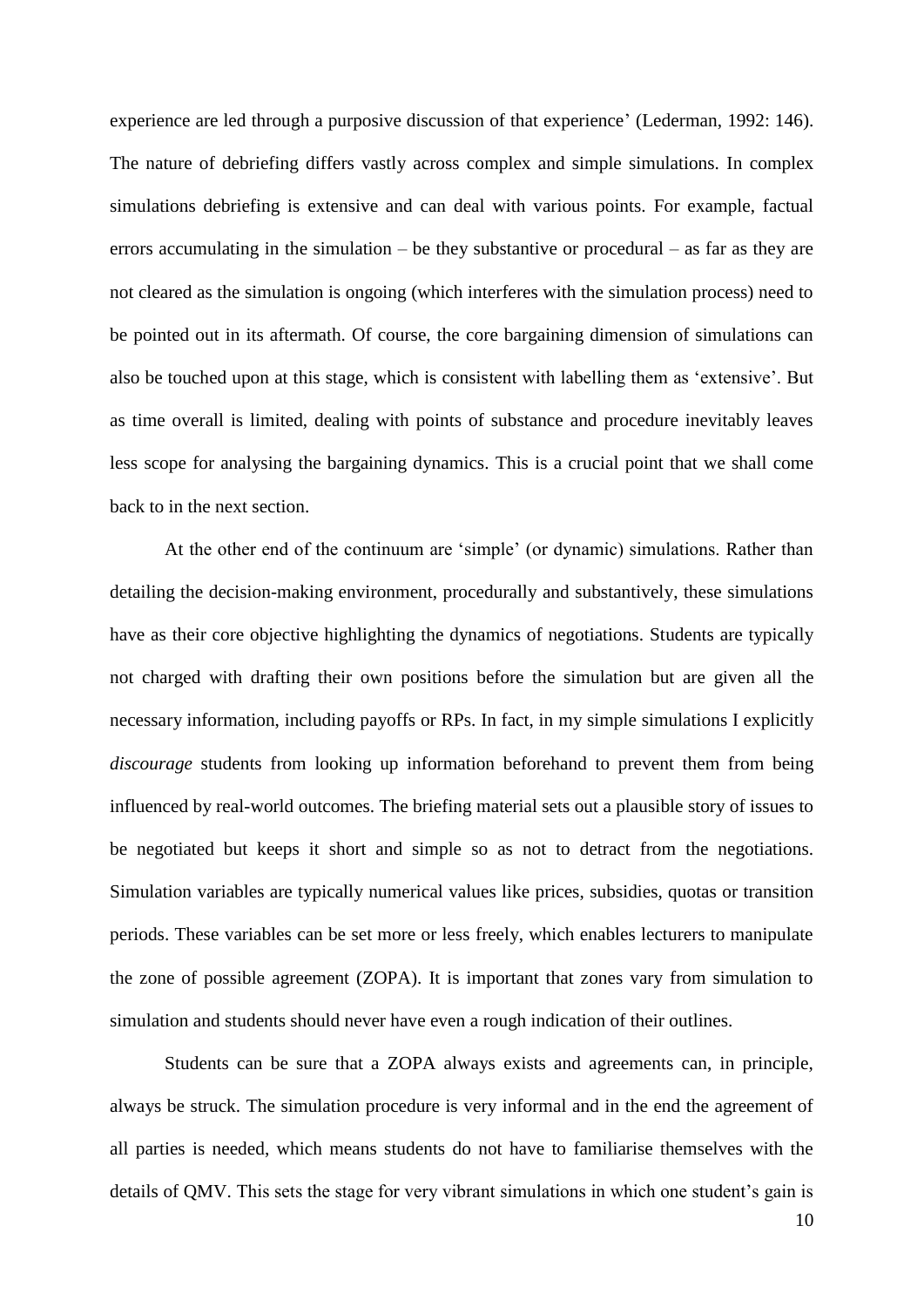experience are led through a purposive discussion of that experience' (Lederman, 1992: 146). The nature of debriefing differs vastly across complex and simple simulations. In complex simulations debriefing is extensive and can deal with various points. For example, factual errors accumulating in the simulation – be they substantive or procedural – as far as they are not cleared as the simulation is ongoing (which interferes with the simulation process) need to be pointed out in its aftermath. Of course, the core bargaining dimension of simulations can also be touched upon at this stage, which is consistent with labelling them as 'extensive'. But as time overall is limited, dealing with points of substance and procedure inevitably leaves less scope for analysing the bargaining dynamics. This is a crucial point that we shall come back to in the next section.

At the other end of the continuum are 'simple' (or dynamic) simulations. Rather than detailing the decision-making environment, procedurally and substantively, these simulations have as their core objective highlighting the dynamics of negotiations. Students are typically not charged with drafting their own positions before the simulation but are given all the necessary information, including payoffs or RPs. In fact, in my simple simulations I explicitly *discourage* students from looking up information beforehand to prevent them from being influenced by real-world outcomes. The briefing material sets out a plausible story of issues to be negotiated but keeps it short and simple so as not to detract from the negotiations. Simulation variables are typically numerical values like prices, subsidies, quotas or transition periods. These variables can be set more or less freely, which enables lecturers to manipulate the zone of possible agreement (ZOPA). It is important that zones vary from simulation to simulation and students should never have even a rough indication of their outlines.

Students can be sure that a ZOPA always exists and agreements can, in principle, always be struck. The simulation procedure is very informal and in the end the agreement of all parties is needed, which means students do not have to familiarise themselves with the details of QMV. This sets the stage for very vibrant simulations in which one student's gain is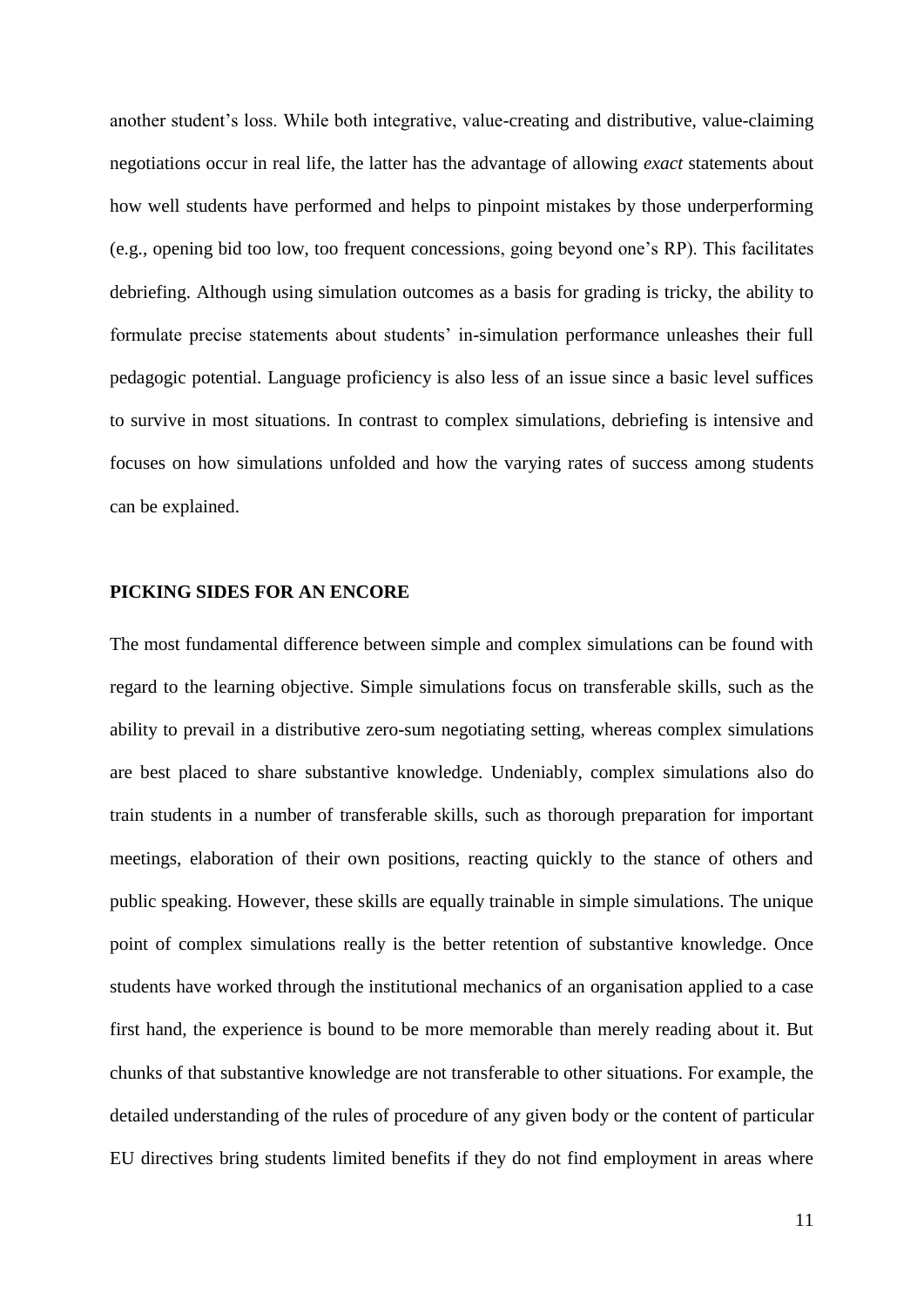another student's loss. While both integrative, value-creating and distributive, value-claiming negotiations occur in real life, the latter has the advantage of allowing *exact* statements about how well students have performed and helps to pinpoint mistakes by those underperforming (e.g., opening bid too low, too frequent concessions, going beyond one's RP). This facilitates debriefing. Although using simulation outcomes as a basis for grading is tricky, the ability to formulate precise statements about students' in-simulation performance unleashes their full pedagogic potential. Language proficiency is also less of an issue since a basic level suffices to survive in most situations. In contrast to complex simulations, debriefing is intensive and focuses on how simulations unfolded and how the varying rates of success among students can be explained.

#### **PICKING SIDES FOR AN ENCORE**

The most fundamental difference between simple and complex simulations can be found with regard to the learning objective. Simple simulations focus on transferable skills, such as the ability to prevail in a distributive zero-sum negotiating setting, whereas complex simulations are best placed to share substantive knowledge. Undeniably, complex simulations also do train students in a number of transferable skills, such as thorough preparation for important meetings, elaboration of their own positions, reacting quickly to the stance of others and public speaking. However, these skills are equally trainable in simple simulations. The unique point of complex simulations really is the better retention of substantive knowledge. Once students have worked through the institutional mechanics of an organisation applied to a case first hand, the experience is bound to be more memorable than merely reading about it. But chunks of that substantive knowledge are not transferable to other situations. For example, the detailed understanding of the rules of procedure of any given body or the content of particular EU directives bring students limited benefits if they do not find employment in areas where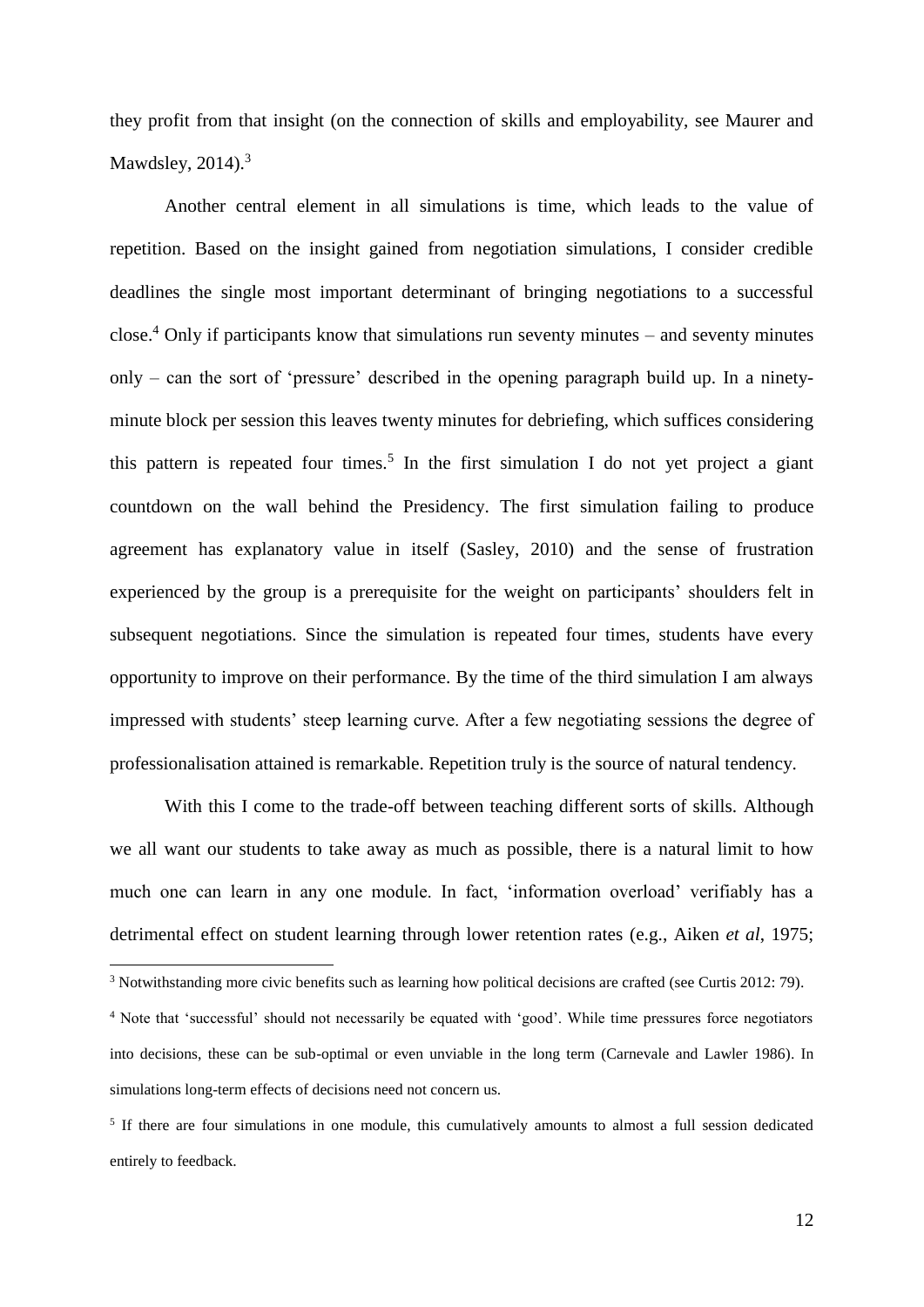they profit from that insight (on the connection of skills and employability, see Maurer and Mawdsley,  $2014$ ). $3$ 

Another central element in all simulations is time, which leads to the value of repetition. Based on the insight gained from negotiation simulations, I consider credible deadlines the single most important determinant of bringing negotiations to a successful close.<sup>4</sup> Only if participants know that simulations run seventy minutes – and seventy minutes only – can the sort of 'pressure' described in the opening paragraph build up. In a ninetyminute block per session this leaves twenty minutes for debriefing, which suffices considering this pattern is repeated four times.<sup>5</sup> In the first simulation I do not yet project a giant countdown on the wall behind the Presidency. The first simulation failing to produce agreement has explanatory value in itself (Sasley, 2010) and the sense of frustration experienced by the group is a prerequisite for the weight on participants' shoulders felt in subsequent negotiations. Since the simulation is repeated four times, students have every opportunity to improve on their performance. By the time of the third simulation I am always impressed with students' steep learning curve. After a few negotiating sessions the degree of professionalisation attained is remarkable. Repetition truly is the source of natural tendency.

With this I come to the trade-off between teaching different sorts of skills. Although we all want our students to take away as much as possible, there is a natural limit to how much one can learn in any one module. In fact, 'information overload' verifiably has a detrimental effect on student learning through lower retention rates (e.g., Aiken *et al*, 1975;

<sup>&</sup>lt;sup>3</sup> Notwithstanding more civic benefits such as learning how political decisions are crafted (see Curtis 2012: 79).

<sup>4</sup> Note that 'successful' should not necessarily be equated with 'good'. While time pressures force negotiators into decisions, these can be sub-optimal or even unviable in the long term (Carnevale and Lawler 1986). In simulations long-term effects of decisions need not concern us.

<sup>&</sup>lt;sup>5</sup> If there are four simulations in one module, this cumulatively amounts to almost a full session dedicated entirely to feedback.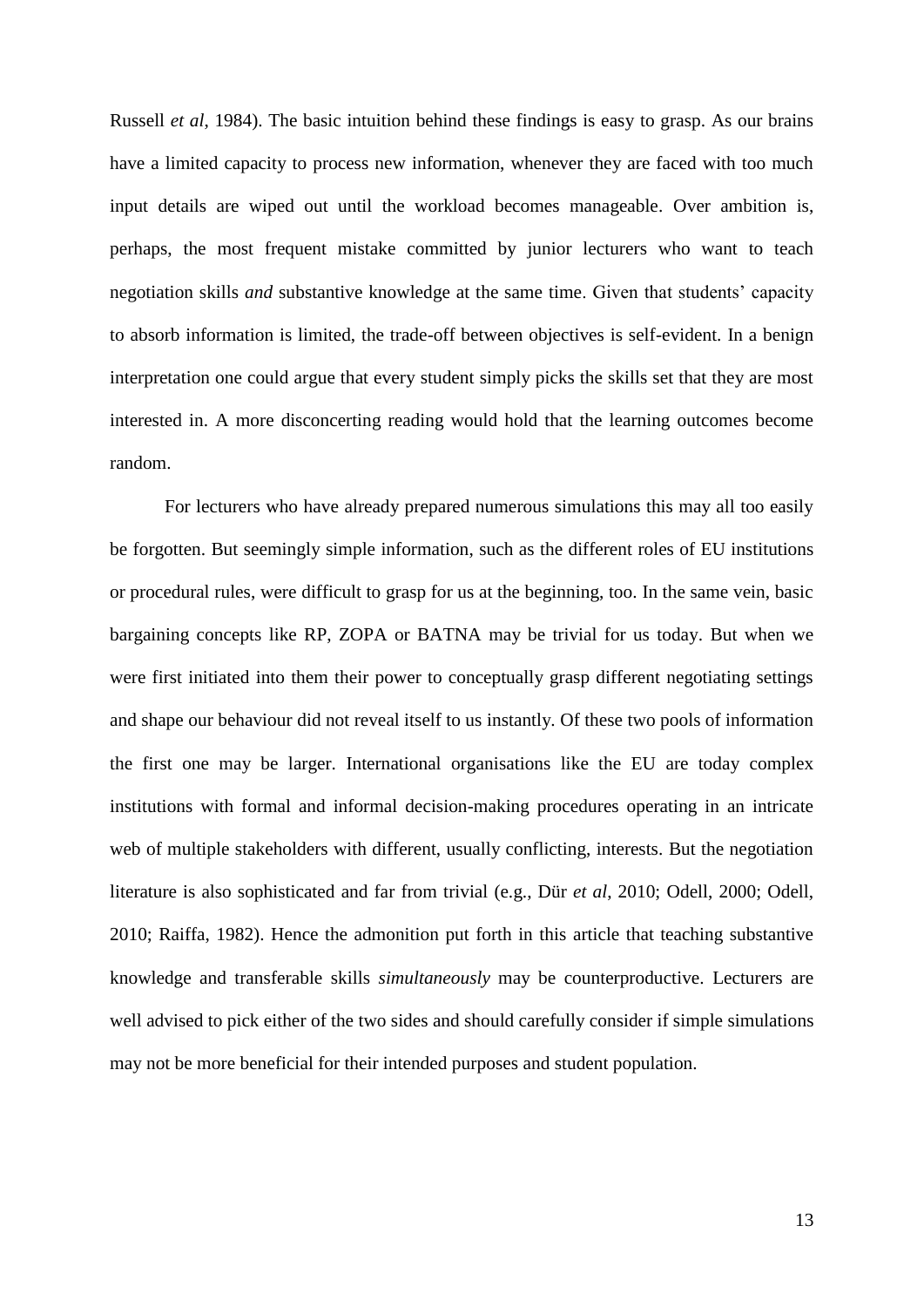Russell *et al*, 1984). The basic intuition behind these findings is easy to grasp. As our brains have a limited capacity to process new information, whenever they are faced with too much input details are wiped out until the workload becomes manageable. Over ambition is, perhaps, the most frequent mistake committed by junior lecturers who want to teach negotiation skills *and* substantive knowledge at the same time. Given that students' capacity to absorb information is limited, the trade-off between objectives is self-evident. In a benign interpretation one could argue that every student simply picks the skills set that they are most interested in. A more disconcerting reading would hold that the learning outcomes become random.

For lecturers who have already prepared numerous simulations this may all too easily be forgotten. But seemingly simple information, such as the different roles of EU institutions or procedural rules, were difficult to grasp for us at the beginning, too. In the same vein, basic bargaining concepts like RP, ZOPA or BATNA may be trivial for us today. But when we were first initiated into them their power to conceptually grasp different negotiating settings and shape our behaviour did not reveal itself to us instantly. Of these two pools of information the first one may be larger. International organisations like the EU are today complex institutions with formal and informal decision-making procedures operating in an intricate web of multiple stakeholders with different, usually conflicting, interests. But the negotiation literature is also sophisticated and far from trivial (e.g., Dür *et al*, 2010; Odell, 2000; Odell, 2010; Raiffa, 1982). Hence the admonition put forth in this article that teaching substantive knowledge and transferable skills *simultaneously* may be counterproductive. Lecturers are well advised to pick either of the two sides and should carefully consider if simple simulations may not be more beneficial for their intended purposes and student population.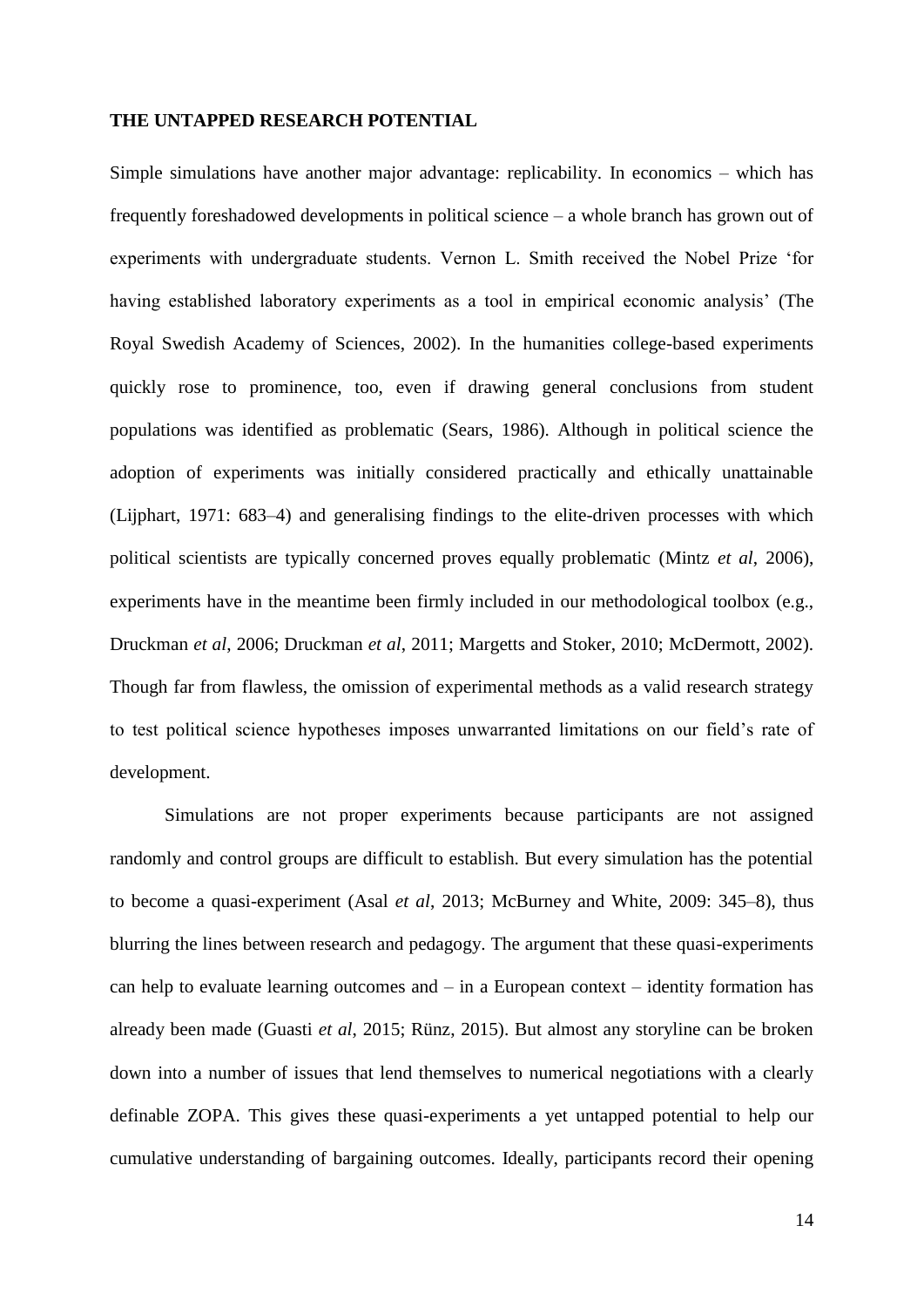#### **THE UNTAPPED RESEARCH POTENTIAL**

Simple simulations have another major advantage: replicability. In economics – which has frequently foreshadowed developments in political science – a whole branch has grown out of experiments with undergraduate students. Vernon L. Smith received the Nobel Prize 'for having established laboratory experiments as a tool in empirical economic analysis' (The Royal Swedish Academy of Sciences, 2002). In the humanities college-based experiments quickly rose to prominence, too, even if drawing general conclusions from student populations was identified as problematic (Sears, 1986). Although in political science the adoption of experiments was initially considered practically and ethically unattainable (Lijphart, 1971: 683–4) and generalising findings to the elite-driven processes with which political scientists are typically concerned proves equally problematic (Mintz *et al*, 2006), experiments have in the meantime been firmly included in our methodological toolbox (e.g., Druckman *et al*, 2006; Druckman *et al*, 2011; Margetts and Stoker, 2010; McDermott, 2002). Though far from flawless, the omission of experimental methods as a valid research strategy to test political science hypotheses imposes unwarranted limitations on our field's rate of development.

Simulations are not proper experiments because participants are not assigned randomly and control groups are difficult to establish. But every simulation has the potential to become a quasi-experiment (Asal *et al*, 2013; McBurney and White, 2009: 345–8), thus blurring the lines between research and pedagogy. The argument that these quasi-experiments can help to evaluate learning outcomes and  $-$  in a European context  $-$  identity formation has already been made (Guasti *et al*, 2015; Rünz, 2015). But almost any storyline can be broken down into a number of issues that lend themselves to numerical negotiations with a clearly definable ZOPA. This gives these quasi-experiments a yet untapped potential to help our cumulative understanding of bargaining outcomes. Ideally, participants record their opening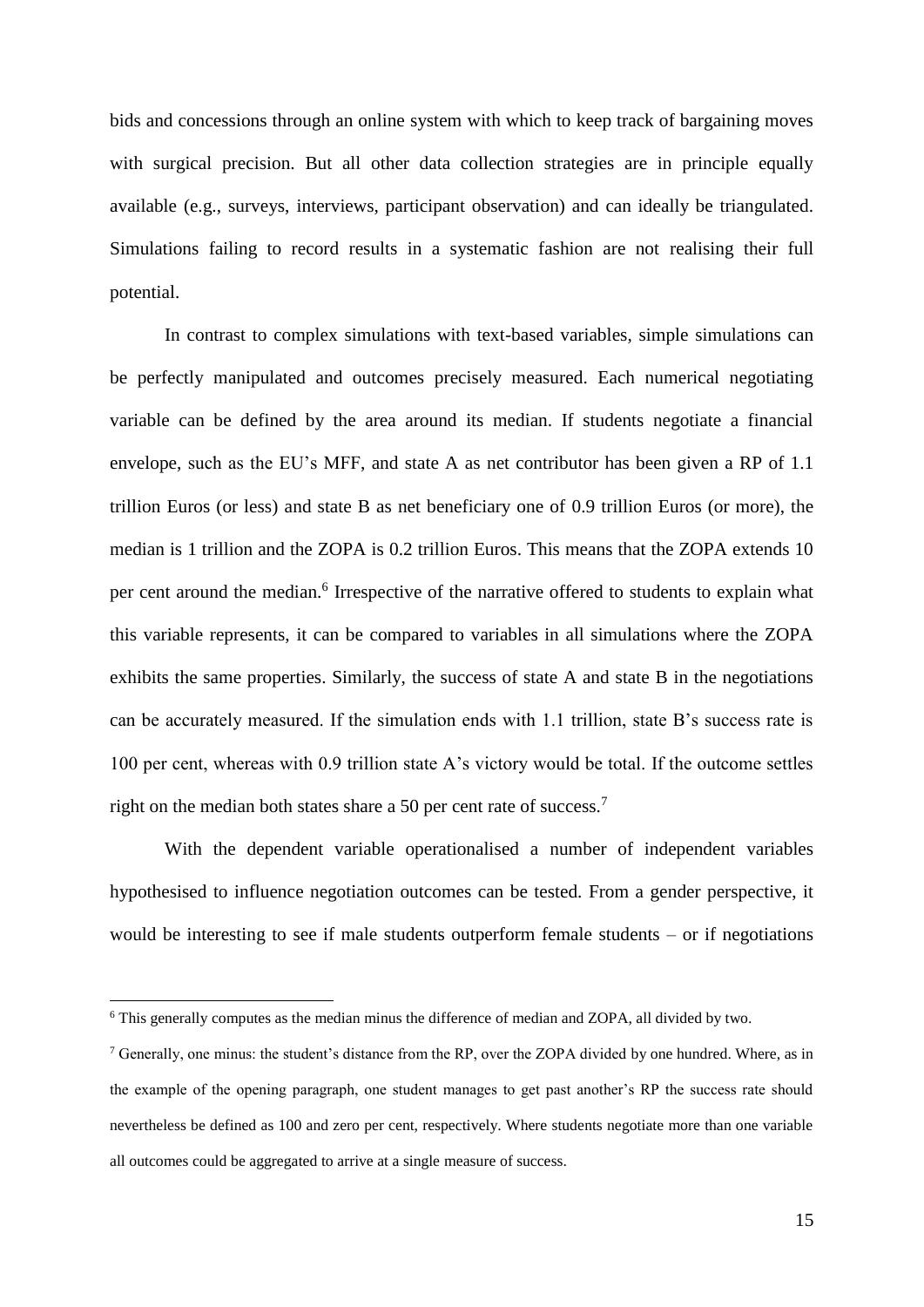bids and concessions through an online system with which to keep track of bargaining moves with surgical precision. But all other data collection strategies are in principle equally available (e.g., surveys, interviews, participant observation) and can ideally be triangulated. Simulations failing to record results in a systematic fashion are not realising their full potential.

In contrast to complex simulations with text-based variables, simple simulations can be perfectly manipulated and outcomes precisely measured. Each numerical negotiating variable can be defined by the area around its median. If students negotiate a financial envelope, such as the EU's MFF, and state A as net contributor has been given a RP of 1.1 trillion Euros (or less) and state B as net beneficiary one of 0.9 trillion Euros (or more), the median is 1 trillion and the ZOPA is 0.2 trillion Euros. This means that the ZOPA extends 10 per cent around the median.<sup>6</sup> Irrespective of the narrative offered to students to explain what this variable represents, it can be compared to variables in all simulations where the ZOPA exhibits the same properties. Similarly, the success of state A and state B in the negotiations can be accurately measured. If the simulation ends with 1.1 trillion, state B's success rate is 100 per cent, whereas with 0.9 trillion state A's victory would be total. If the outcome settles right on the median both states share a 50 per cent rate of success.<sup>7</sup>

With the dependent variable operationalised a number of independent variables hypothesised to influence negotiation outcomes can be tested. From a gender perspective, it would be interesting to see if male students outperform female students – or if negotiations

<sup>6</sup> This generally computes as the median minus the difference of median and ZOPA, all divided by two.

<sup>&</sup>lt;sup>7</sup> Generally, one minus: the student's distance from the RP, over the ZOPA divided by one hundred. Where, as in the example of the opening paragraph, one student manages to get past another's RP the success rate should nevertheless be defined as 100 and zero per cent, respectively. Where students negotiate more than one variable all outcomes could be aggregated to arrive at a single measure of success.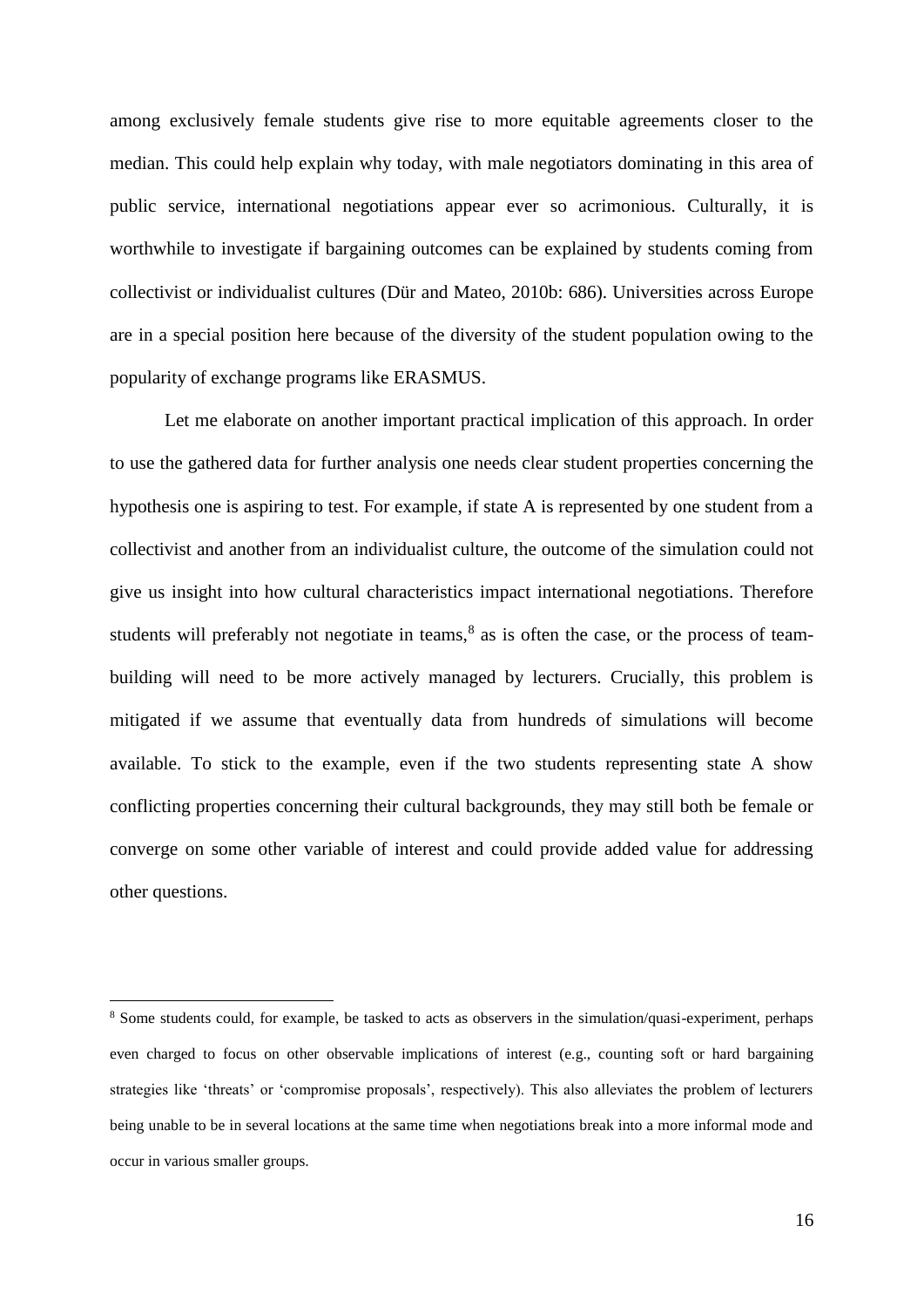among exclusively female students give rise to more equitable agreements closer to the median. This could help explain why today, with male negotiators dominating in this area of public service, international negotiations appear ever so acrimonious. Culturally, it is worthwhile to investigate if bargaining outcomes can be explained by students coming from collectivist or individualist cultures (Dür and Mateo, 2010b: 686). Universities across Europe are in a special position here because of the diversity of the student population owing to the popularity of exchange programs like ERASMUS.

Let me elaborate on another important practical implication of this approach. In order to use the gathered data for further analysis one needs clear student properties concerning the hypothesis one is aspiring to test. For example, if state A is represented by one student from a collectivist and another from an individualist culture, the outcome of the simulation could not give us insight into how cultural characteristics impact international negotiations. Therefore students will preferably not negotiate in teams, $8$  as is often the case, or the process of teambuilding will need to be more actively managed by lecturers. Crucially, this problem is mitigated if we assume that eventually data from hundreds of simulations will become available. To stick to the example, even if the two students representing state A show conflicting properties concerning their cultural backgrounds, they may still both be female or converge on some other variable of interest and could provide added value for addressing other questions.

<sup>8</sup> Some students could, for example, be tasked to acts as observers in the simulation/quasi-experiment, perhaps even charged to focus on other observable implications of interest (e.g., counting soft or hard bargaining strategies like 'threats' or 'compromise proposals', respectively). This also alleviates the problem of lecturers being unable to be in several locations at the same time when negotiations break into a more informal mode and occur in various smaller groups.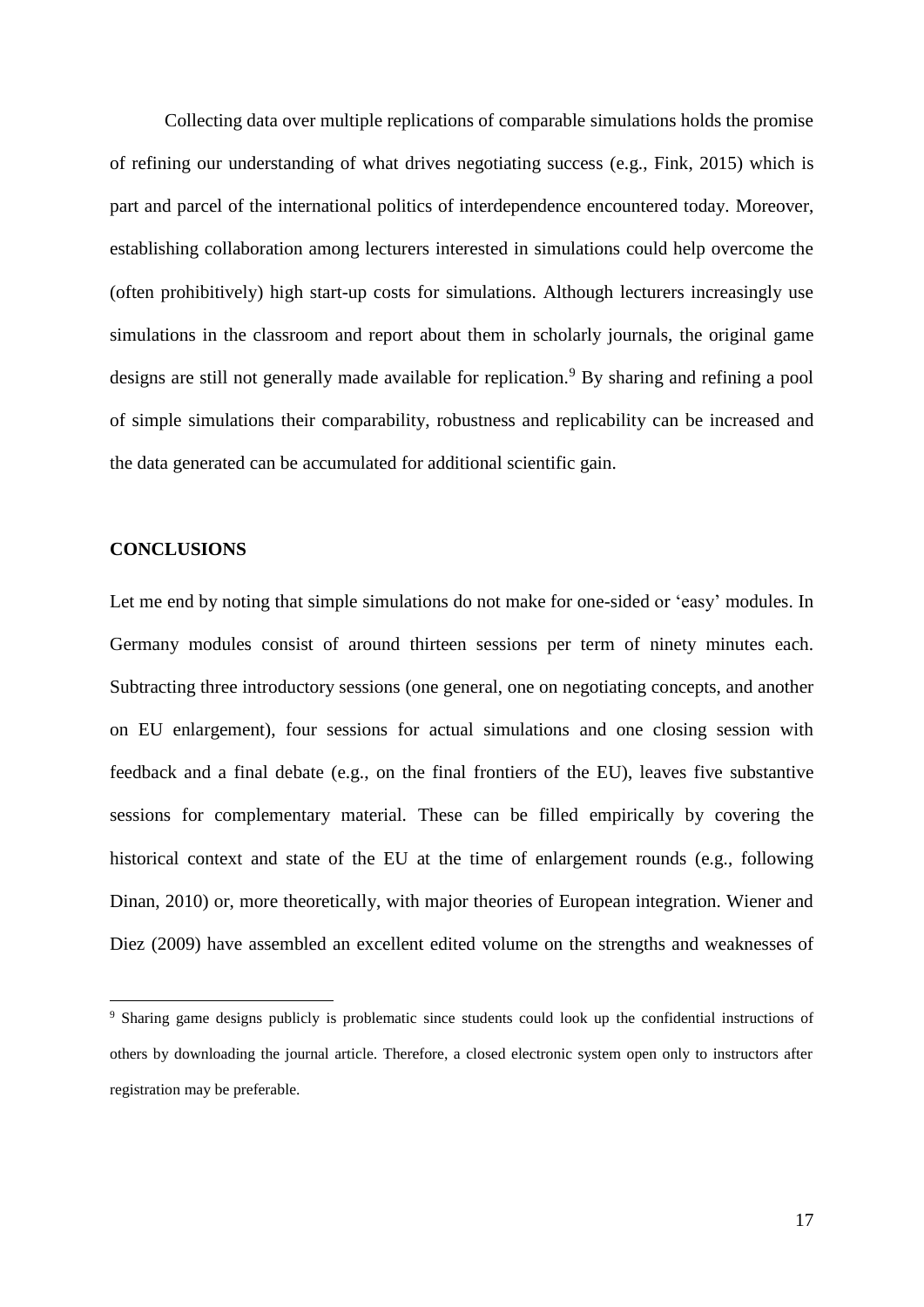Collecting data over multiple replications of comparable simulations holds the promise of refining our understanding of what drives negotiating success (e.g., Fink, 2015) which is part and parcel of the international politics of interdependence encountered today. Moreover, establishing collaboration among lecturers interested in simulations could help overcome the (often prohibitively) high start-up costs for simulations. Although lecturers increasingly use simulations in the classroom and report about them in scholarly journals, the original game designs are still not generally made available for replication.<sup>9</sup> By sharing and refining a pool of simple simulations their comparability, robustness and replicability can be increased and the data generated can be accumulated for additional scientific gain.

#### **CONCLUSIONS**

1

Let me end by noting that simple simulations do not make for one-sided or 'easy' modules. In Germany modules consist of around thirteen sessions per term of ninety minutes each. Subtracting three introductory sessions (one general, one on negotiating concepts, and another on EU enlargement), four sessions for actual simulations and one closing session with feedback and a final debate (e.g., on the final frontiers of the EU), leaves five substantive sessions for complementary material. These can be filled empirically by covering the historical context and state of the EU at the time of enlargement rounds (e.g., following Dinan, 2010) or, more theoretically, with major theories of European integration. Wiener and Diez (2009) have assembled an excellent edited volume on the strengths and weaknesses of

<sup>9</sup> Sharing game designs publicly is problematic since students could look up the confidential instructions of others by downloading the journal article. Therefore, a closed electronic system open only to instructors after registration may be preferable.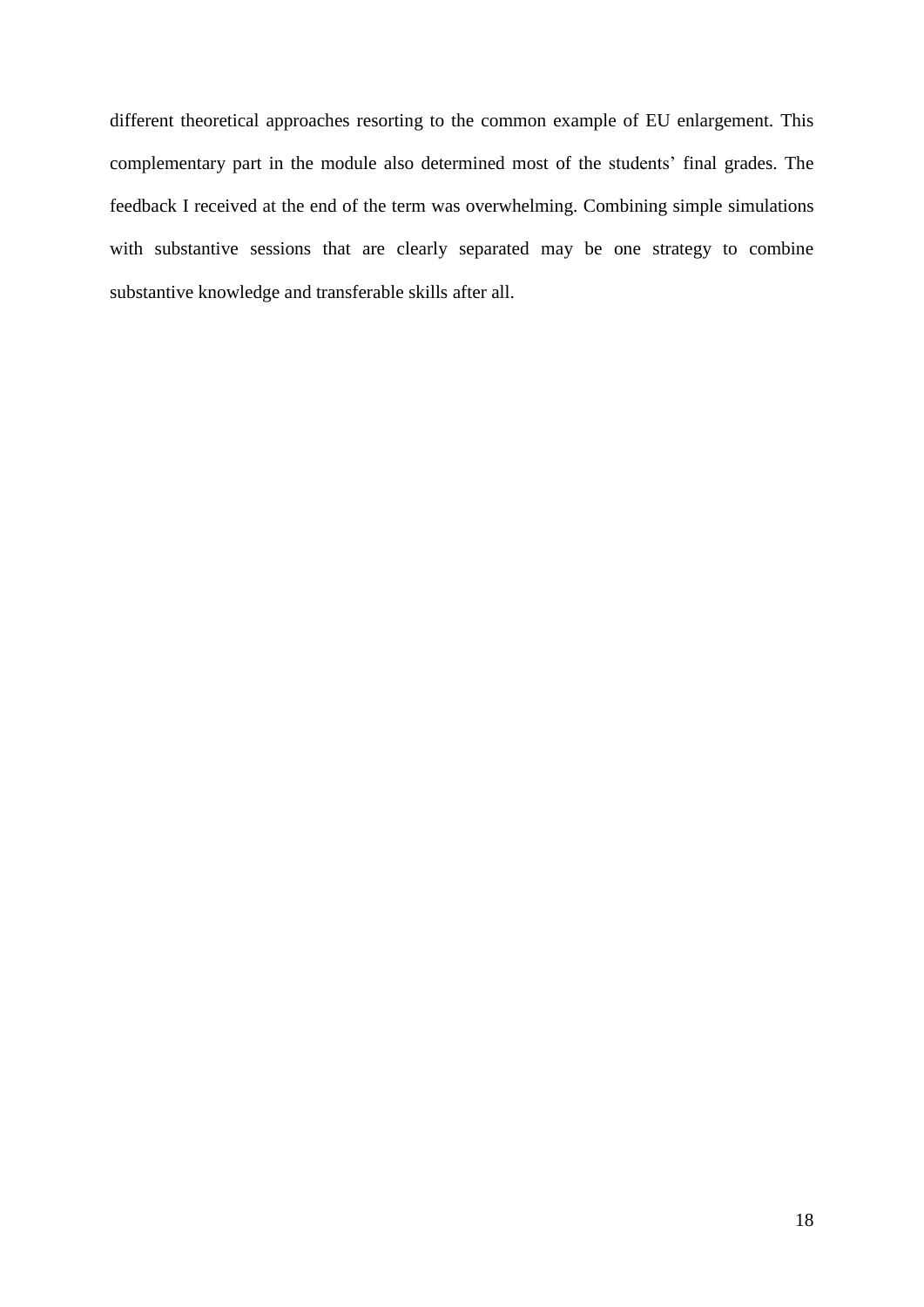different theoretical approaches resorting to the common example of EU enlargement. This complementary part in the module also determined most of the students' final grades. The feedback I received at the end of the term was overwhelming. Combining simple simulations with substantive sessions that are clearly separated may be one strategy to combine substantive knowledge and transferable skills after all.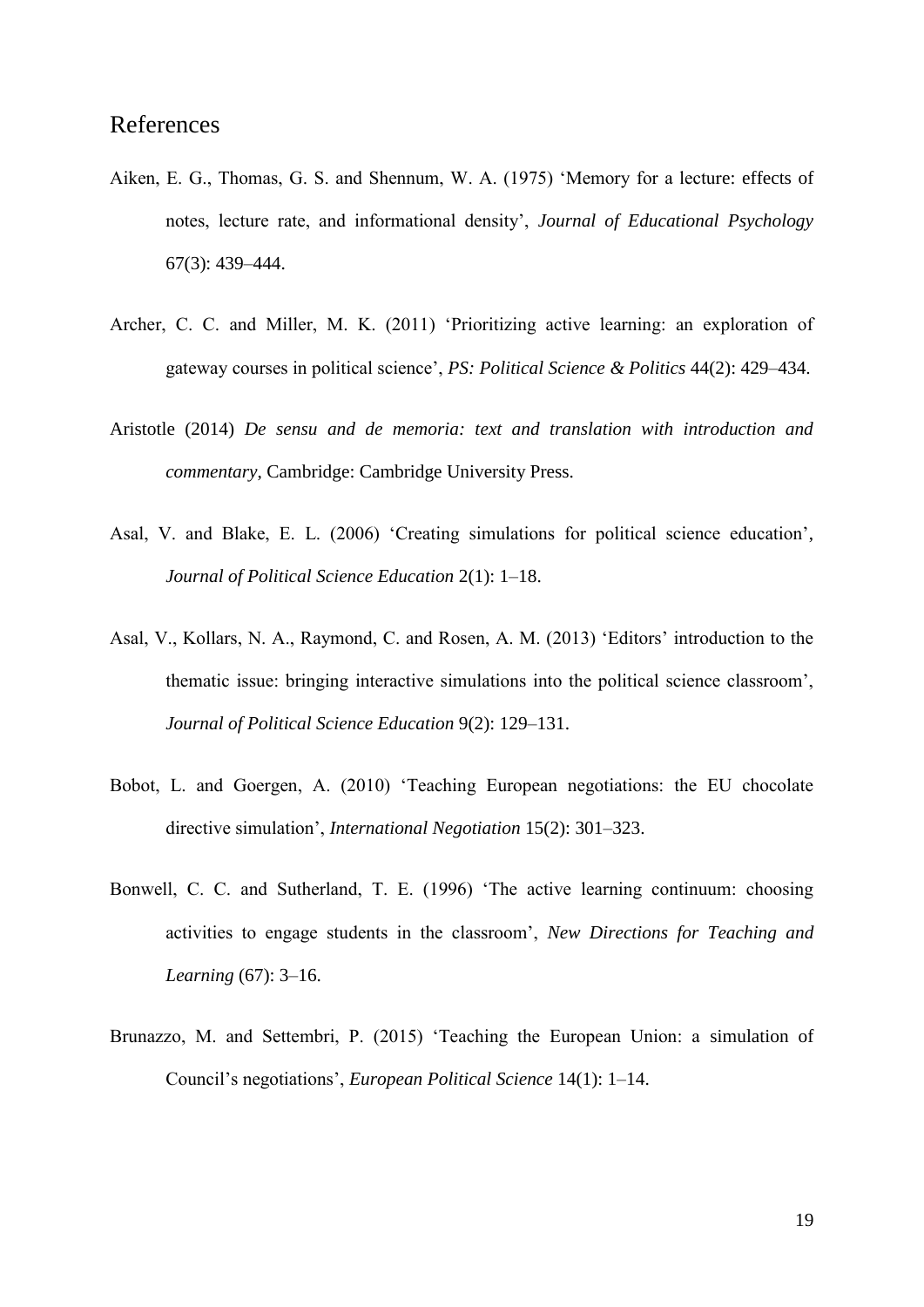### References

- Aiken, E. G., Thomas, G. S. and Shennum, W. A. (1975) 'Memory for a lecture: effects of notes, lecture rate, and informational density', *Journal of Educational Psychology* 67(3): 439–444.
- Archer, C. C. and Miller, M. K. (2011) 'Prioritizing active learning: an exploration of gateway courses in political science', *PS: Political Science & Politics* 44(2): 429–434.
- Aristotle (2014) *De sensu and de memoria: text and translation with introduction and commentary*, Cambridge: Cambridge University Press.
- Asal, V. and Blake, E. L. (2006) 'Creating simulations for political science education', *Journal of Political Science Education* 2(1): 1–18.
- Asal, V., Kollars, N. A., Raymond, C. and Rosen, A. M. (2013) 'Editors' introduction to the thematic issue: bringing interactive simulations into the political science classroom', *Journal of Political Science Education* 9(2): 129–131.
- Bobot, L. and Goergen, A. (2010) 'Teaching European negotiations: the EU chocolate directive simulation', *International Negotiation* 15(2): 301–323.
- Bonwell, C. C. and Sutherland, T. E. (1996) 'The active learning continuum: choosing activities to engage students in the classroom', *New Directions for Teaching and Learning* (67): 3–16.
- Brunazzo, M. and Settembri, P. (2015) 'Teaching the European Union: a simulation of Council's negotiations', *European Political Science* 14(1): 1–14.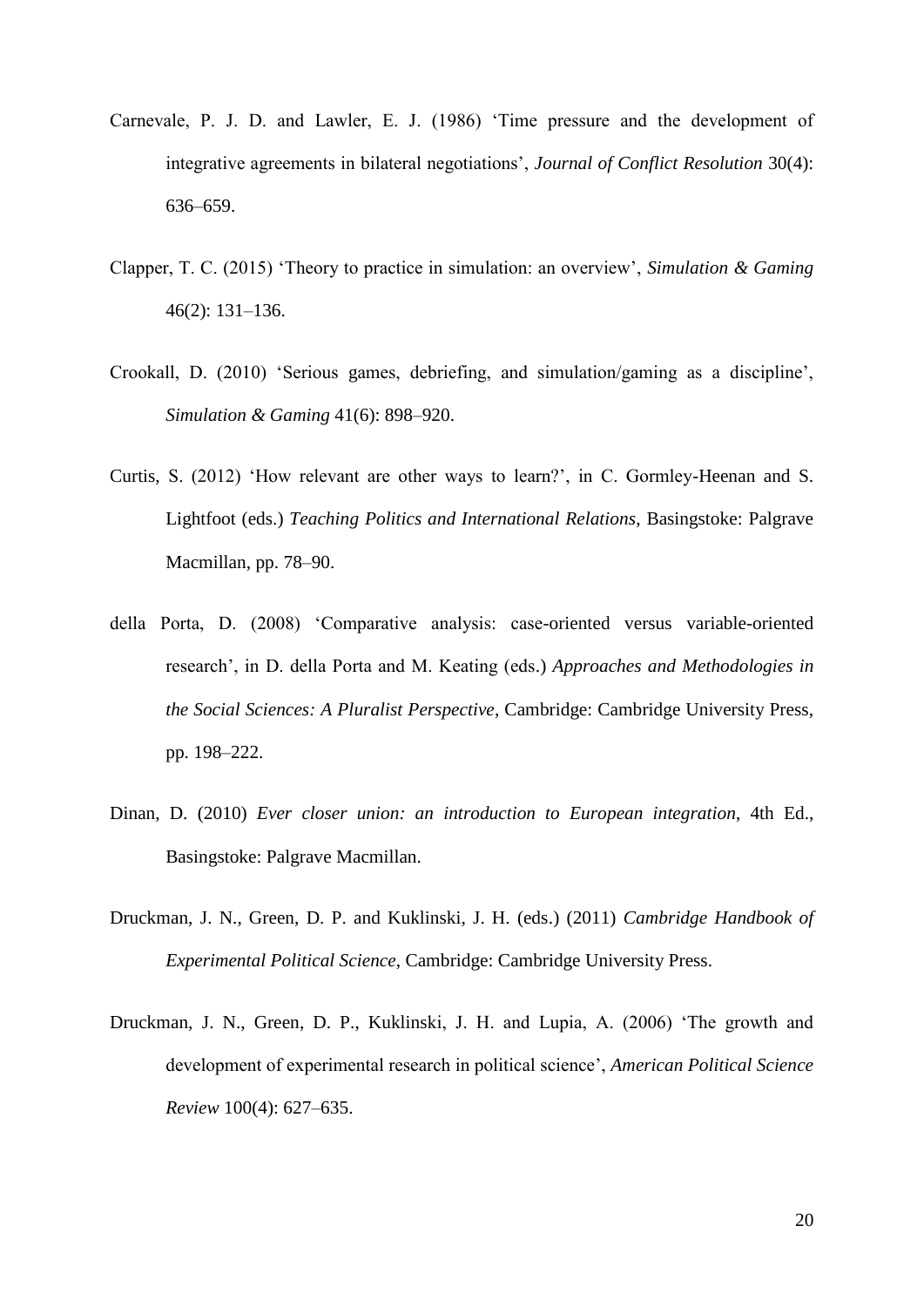- Carnevale, P. J. D. and Lawler, E. J. (1986) 'Time pressure and the development of integrative agreements in bilateral negotiations', *Journal of Conflict Resolution* 30(4): 636–659.
- Clapper, T. C. (2015) 'Theory to practice in simulation: an overview', *Simulation & Gaming* 46(2): 131–136.
- Crookall, D. (2010) 'Serious games, debriefing, and simulation/gaming as a discipline', *Simulation & Gaming* 41(6): 898–920.
- Curtis, S. (2012) 'How relevant are other ways to learn?', in C. Gormley-Heenan and S. Lightfoot (eds.) *Teaching Politics and International Relations*, Basingstoke: Palgrave Macmillan, pp. 78–90.
- della Porta, D. (2008) 'Comparative analysis: case-oriented versus variable-oriented research', in D. della Porta and M. Keating (eds.) *Approaches and Methodologies in the Social Sciences: A Pluralist Perspective*, Cambridge: Cambridge University Press, pp. 198–222.
- Dinan, D. (2010) *Ever closer union: an introduction to European integration*, 4th Ed., Basingstoke: Palgrave Macmillan.
- Druckman, J. N., Green, D. P. and Kuklinski, J. H. (eds.) (2011) *Cambridge Handbook of Experimental Political Science*, Cambridge: Cambridge University Press.
- Druckman, J. N., Green, D. P., Kuklinski, J. H. and Lupia, A. (2006) 'The growth and development of experimental research in political science', *American Political Science Review* 100(4): 627–635.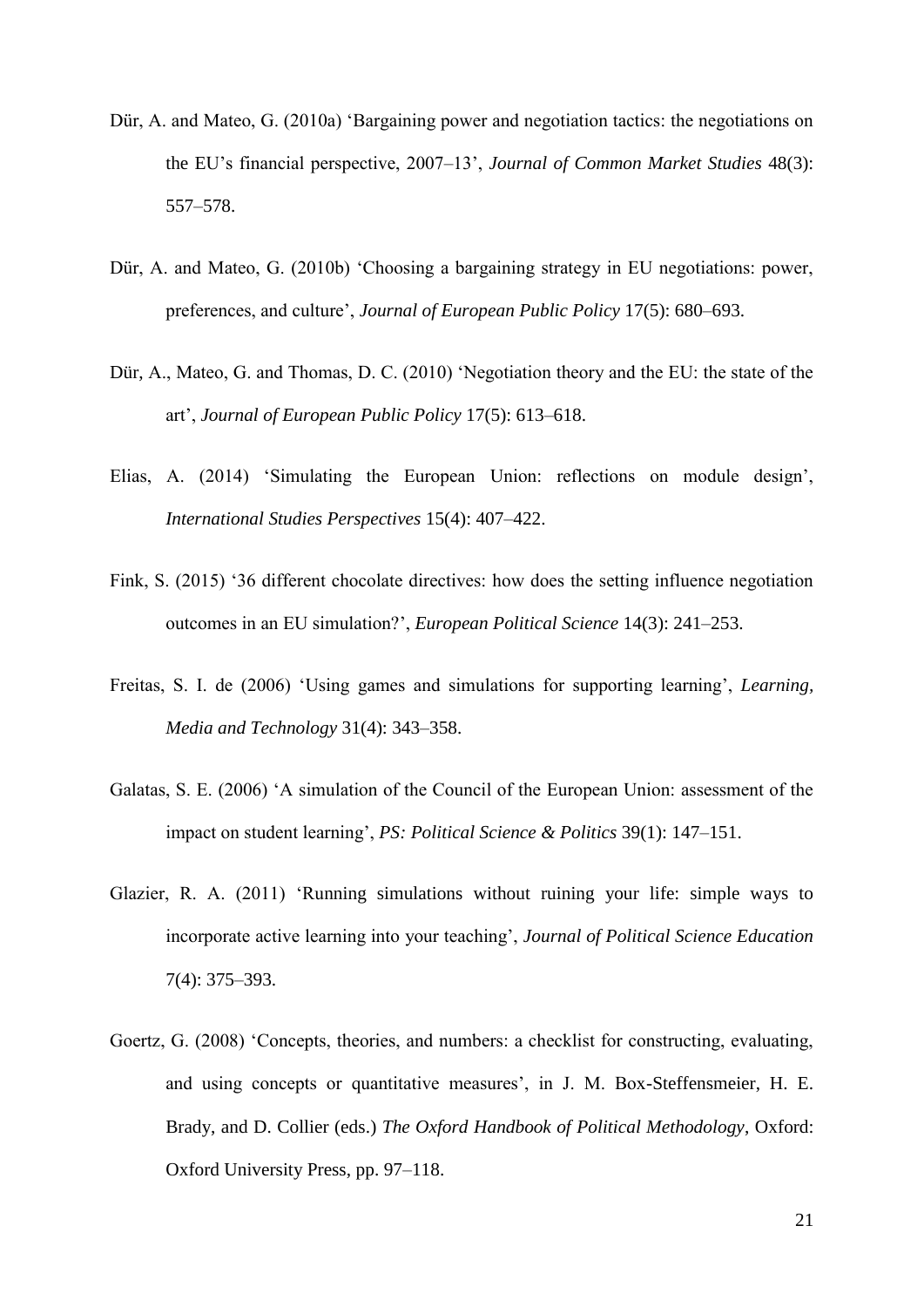- Dür, A. and Mateo, G. (2010a) 'Bargaining power and negotiation tactics: the negotiations on the EU's financial perspective, 2007–13', *Journal of Common Market Studies* 48(3): 557–578.
- Dür, A. and Mateo, G. (2010b) 'Choosing a bargaining strategy in EU negotiations: power, preferences, and culture', *Journal of European Public Policy* 17(5): 680–693.
- Dür, A., Mateo, G. and Thomas, D. C. (2010) 'Negotiation theory and the EU: the state of the art', *Journal of European Public Policy* 17(5): 613–618.
- Elias, A. (2014) 'Simulating the European Union: reflections on module design', *International Studies Perspectives* 15(4): 407–422.
- Fink, S. (2015) '36 different chocolate directives: how does the setting influence negotiation outcomes in an EU simulation?', *European Political Science* 14(3): 241–253.
- Freitas, S. I. de (2006) 'Using games and simulations for supporting learning', *Learning, Media and Technology* 31(4): 343–358.
- Galatas, S. E. (2006) 'A simulation of the Council of the European Union: assessment of the impact on student learning', *PS: Political Science & Politics* 39(1): 147–151.
- Glazier, R. A. (2011) 'Running simulations without ruining your life: simple ways to incorporate active learning into your teaching', *Journal of Political Science Education* 7(4): 375–393.
- Goertz, G. (2008) 'Concepts, theories, and numbers: a checklist for constructing, evaluating, and using concepts or quantitative measures', in J. M. Box-Steffensmeier, H. E. Brady, and D. Collier (eds.) *The Oxford Handbook of Political Methodology*, Oxford: Oxford University Press, pp. 97–118.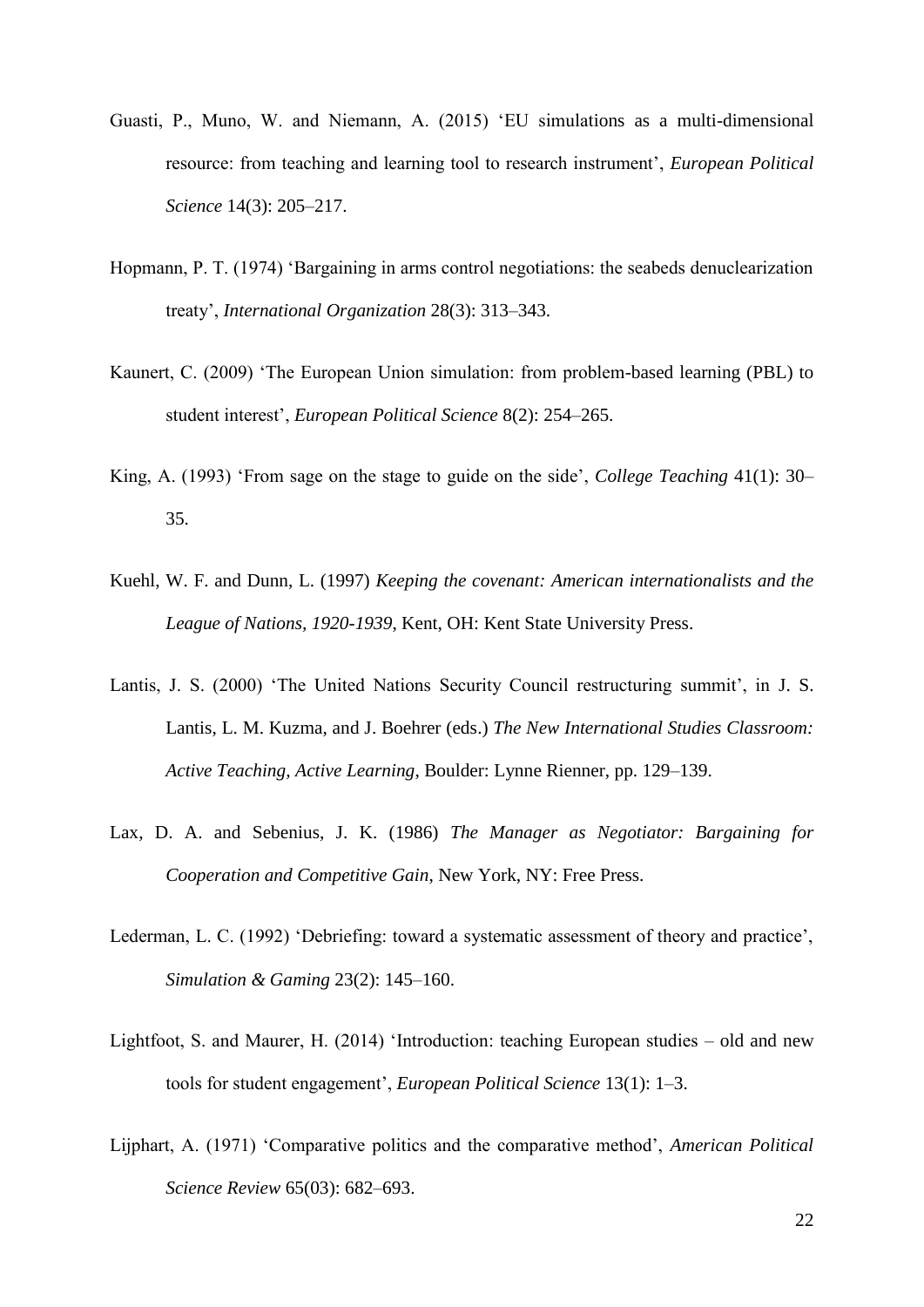- Guasti, P., Muno, W. and Niemann, A. (2015) 'EU simulations as a multi-dimensional resource: from teaching and learning tool to research instrument', *European Political Science* 14(3): 205–217.
- Hopmann, P. T. (1974) 'Bargaining in arms control negotiations: the seabeds denuclearization treaty', *International Organization* 28(3): 313–343.
- Kaunert, C. (2009) 'The European Union simulation: from problem-based learning (PBL) to student interest', *European Political Science* 8(2): 254–265.
- King, A. (1993) 'From sage on the stage to guide on the side', *College Teaching* 41(1): 30– 35.
- Kuehl, W. F. and Dunn, L. (1997) *Keeping the covenant: American internationalists and the League of Nations, 1920-1939*, Kent, OH: Kent State University Press.
- Lantis, J. S. (2000) 'The United Nations Security Council restructuring summit', in J. S. Lantis, L. M. Kuzma, and J. Boehrer (eds.) *The New International Studies Classroom: Active Teaching, Active Learning*, Boulder: Lynne Rienner, pp. 129–139.
- Lax, D. A. and Sebenius, J. K. (1986) *The Manager as Negotiator: Bargaining for Cooperation and Competitive Gain*, New York, NY: Free Press.
- Lederman, L. C. (1992) 'Debriefing: toward a systematic assessment of theory and practice', *Simulation & Gaming* 23(2): 145–160.
- Lightfoot, S. and Maurer, H. (2014) 'Introduction: teaching European studies old and new tools for student engagement', *European Political Science* 13(1): 1–3.
- Lijphart, A. (1971) 'Comparative politics and the comparative method', *American Political Science Review* 65(03): 682–693.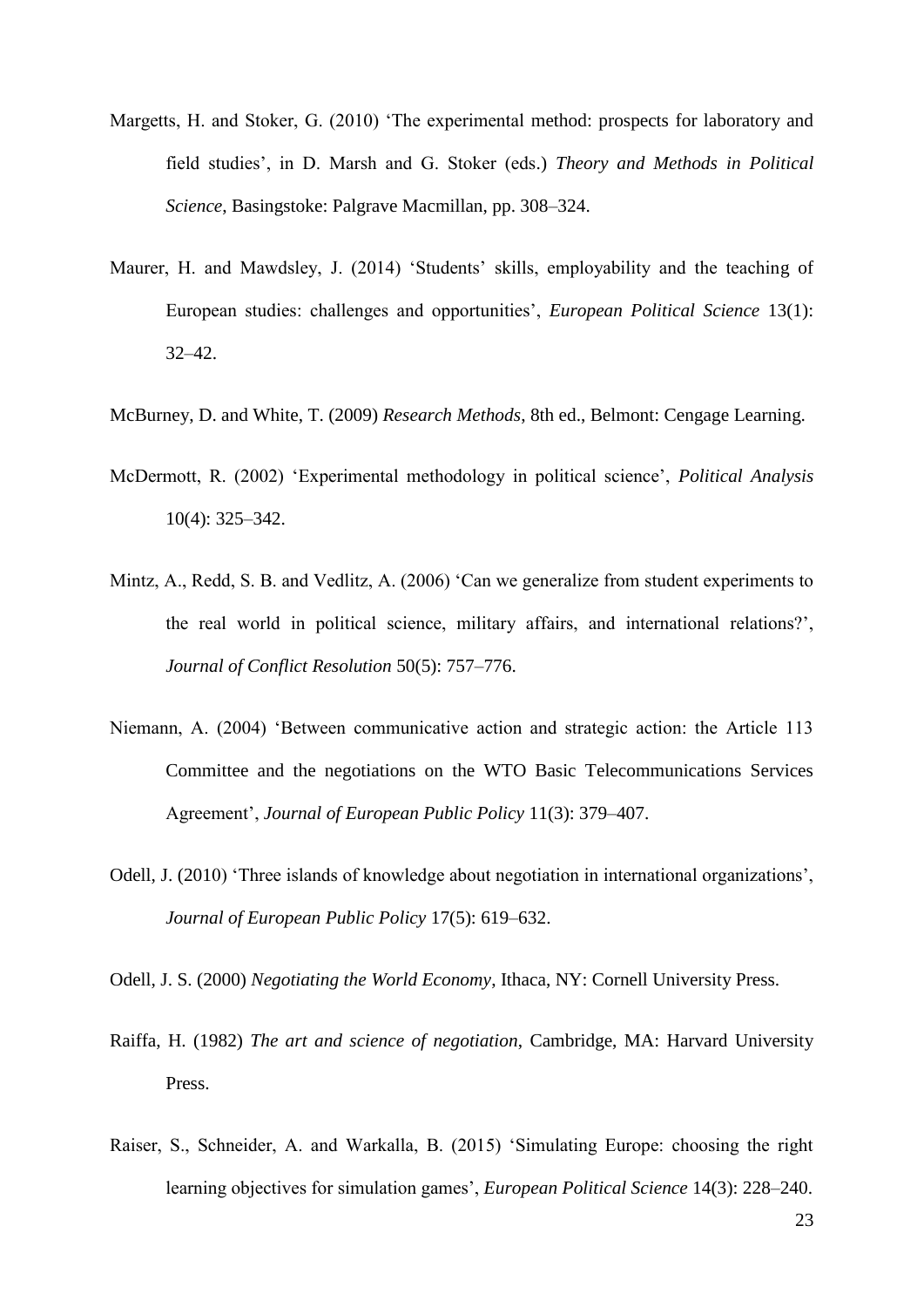- Margetts, H. and Stoker, G. (2010) 'The experimental method: prospects for laboratory and field studies', in D. Marsh and G. Stoker (eds.) *Theory and Methods in Political Science*, Basingstoke: Palgrave Macmillan, pp. 308–324.
- Maurer, H. and Mawdsley, J. (2014) 'Students' skills, employability and the teaching of European studies: challenges and opportunities', *European Political Science* 13(1): 32–42.
- McBurney, D. and White, T. (2009) *Research Methods*, 8th ed., Belmont: Cengage Learning.
- McDermott, R. (2002) 'Experimental methodology in political science', *Political Analysis* 10(4): 325–342.
- Mintz, A., Redd, S. B. and Vedlitz, A. (2006) 'Can we generalize from student experiments to the real world in political science, military affairs, and international relations?', *Journal of Conflict Resolution* 50(5): 757–776.
- Niemann, A. (2004) 'Between communicative action and strategic action: the Article 113 Committee and the negotiations on the WTO Basic Telecommunications Services Agreement', *Journal of European Public Policy* 11(3): 379–407.
- Odell, J. (2010) 'Three islands of knowledge about negotiation in international organizations', *Journal of European Public Policy* 17(5): 619–632.
- Odell, J. S. (2000) *Negotiating the World Economy*, Ithaca, NY: Cornell University Press.
- Raiffa, H. (1982) *The art and science of negotiation*, Cambridge, MA: Harvard University Press.
- Raiser, S., Schneider, A. and Warkalla, B. (2015) 'Simulating Europe: choosing the right learning objectives for simulation games', *European Political Science* 14(3): 228–240.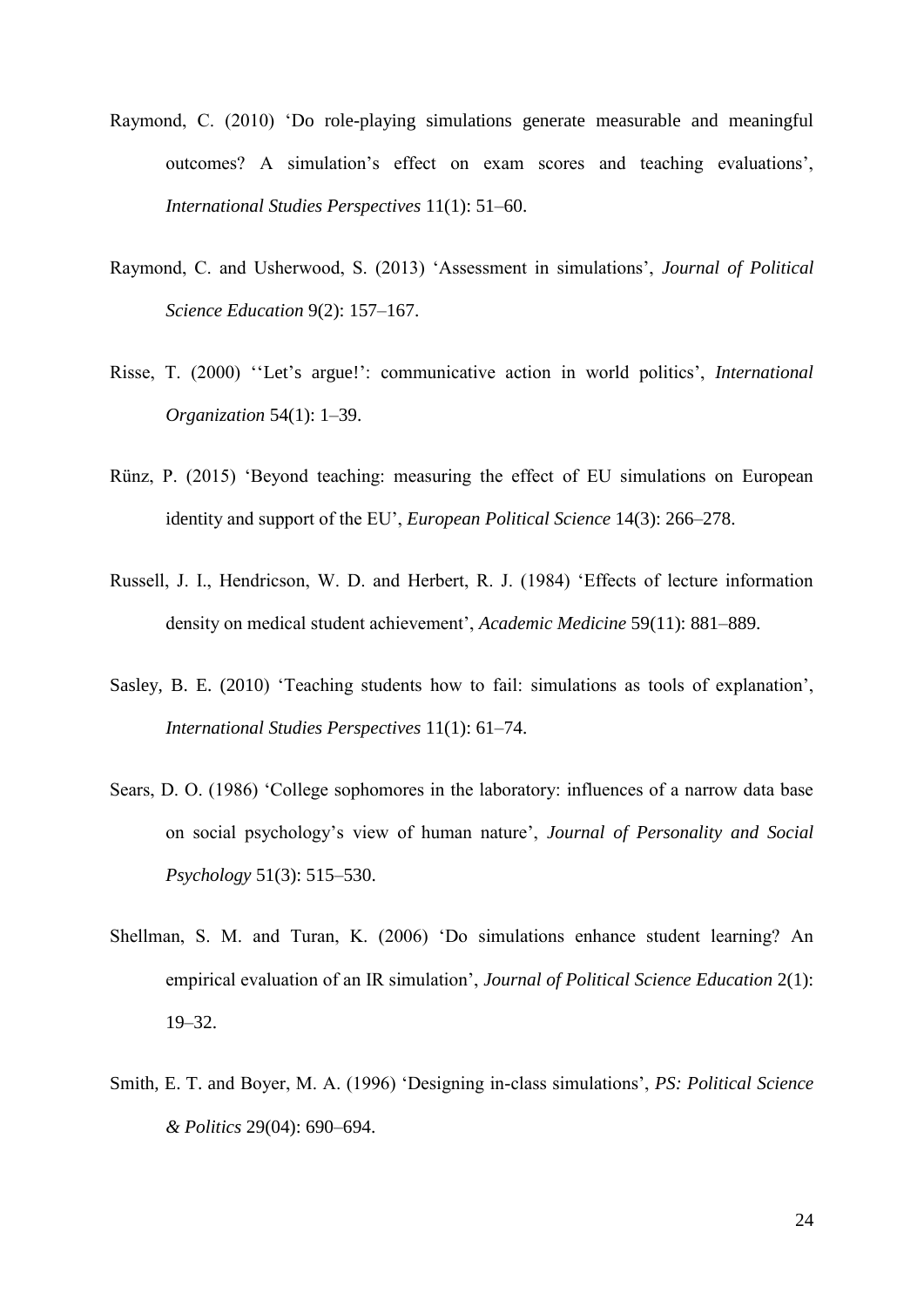- Raymond, C. (2010) 'Do role-playing simulations generate measurable and meaningful outcomes? A simulation's effect on exam scores and teaching evaluations', *International Studies Perspectives* 11(1): 51–60.
- Raymond, C. and Usherwood, S. (2013) 'Assessment in simulations', *Journal of Political Science Education* 9(2): 157–167.
- Risse, T. (2000) ''Let's argue!': communicative action in world politics', *International Organization* 54(1): 1–39.
- Rünz, P. (2015) 'Beyond teaching: measuring the effect of EU simulations on European identity and support of the EU', *European Political Science* 14(3): 266–278.
- Russell, J. I., Hendricson, W. D. and Herbert, R. J. (1984) 'Effects of lecture information density on medical student achievement', *Academic Medicine* 59(11): 881–889.
- Sasley, B. E. (2010) 'Teaching students how to fail: simulations as tools of explanation', *International Studies Perspectives* 11(1): 61–74.
- Sears, D. O. (1986) 'College sophomores in the laboratory: influences of a narrow data base on social psychology's view of human nature', *Journal of Personality and Social Psychology* 51(3): 515–530.
- Shellman, S. M. and Turan, K. (2006) 'Do simulations enhance student learning? An empirical evaluation of an IR simulation', *Journal of Political Science Education* 2(1): 19–32.
- Smith, E. T. and Boyer, M. A. (1996) 'Designing in-class simulations', *PS: Political Science & Politics* 29(04): 690–694.